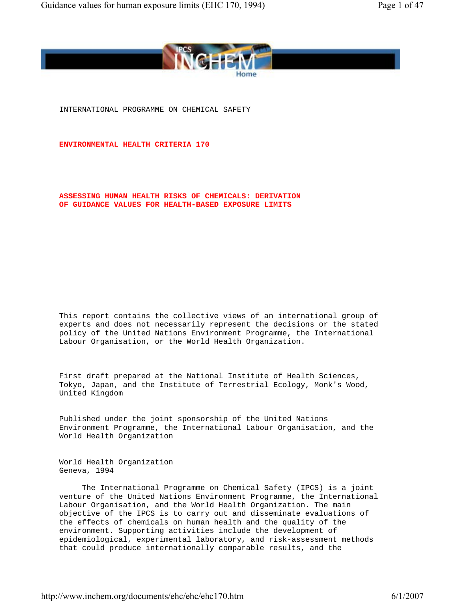

INTERNATIONAL PROGRAMME ON CHEMICAL SAFETY

**ENVIRONMENTAL HEALTH CRITERIA 170**

 **ASSESSING HUMAN HEALTH RISKS OF CHEMICALS: DERIVATION OF GUIDANCE VALUES FOR HEALTH-BASED EXPOSURE LIMITS**

 This report contains the collective views of an international group of experts and does not necessarily represent the decisions or the stated policy of the United Nations Environment Programme, the International Labour Organisation, or the World Health Organization.

 First draft prepared at the National Institute of Health Sciences, Tokyo, Japan, and the Institute of Terrestrial Ecology, Monk's Wood, United Kingdom

 Published under the joint sponsorship of the United Nations Environment Programme, the International Labour Organisation, and the World Health Organization

 World Health Organization Geneva, 1994

 The International Programme on Chemical Safety (IPCS) is a joint venture of the United Nations Environment Programme, the International Labour Organisation, and the World Health Organization. The main objective of the IPCS is to carry out and disseminate evaluations of the effects of chemicals on human health and the quality of the environment. Supporting activities include the development of epidemiological, experimental laboratory, and risk-assessment methods that could produce internationally comparable results, and the

http://www.inchem.org/documents/ehc/ehc/ehc170.htm 6/1/2007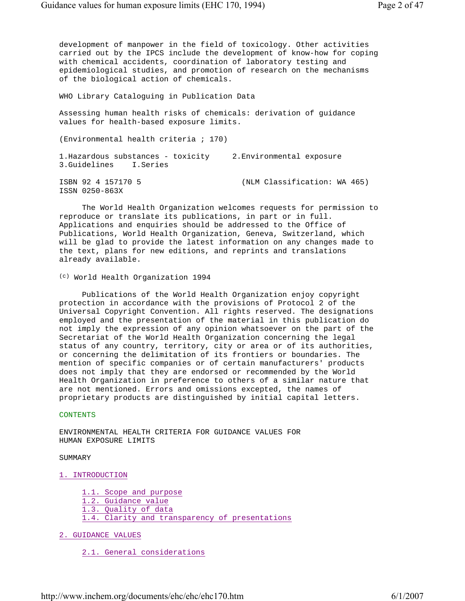development of manpower in the field of toxicology. Other activities carried out by the IPCS include the development of know-how for coping with chemical accidents, coordination of laboratory testing and epidemiological studies, and promotion of research on the mechanisms of the biological action of chemicals.

WHO Library Cataloguing in Publication Data

 Assessing human health risks of chemicals: derivation of guidance values for health-based exposure limits.

(Environmental health criteria ; 170)

 1.Hazardous substances - toxicity 2.Environmental exposure 3.Guidelines I.Series

ISSN 0250-863X

ISBN 92 4 157170 5 (NLM Classification: WA 465)

 The World Health Organization welcomes requests for permission to reproduce or translate its publications, in part or in full. Applications and enquiries should be addressed to the Office of Publications, World Health Organization, Geneva, Switzerland, which will be glad to provide the latest information on any changes made to the text, plans for new editions, and reprints and translations already available.

(c) World Health Organization 1994

 Publications of the World Health Organization enjoy copyright protection in accordance with the provisions of Protocol 2 of the Universal Copyright Convention. All rights reserved. The designations employed and the presentation of the material in this publication do not imply the expression of any opinion whatsoever on the part of the Secretariat of the World Health Organization concerning the legal status of any country, territory, city or area or of its authorities, or concerning the delimitation of its frontiers or boundaries. The mention of specific companies or of certain manufacturers' products does not imply that they are endorsed or recommended by the World Health Organization in preference to others of a similar nature that are not mentioned. Errors and omissions excepted, the names of proprietary products are distinguished by initial capital letters.

## CONTENTS

 ENVIRONMENTAL HEALTH CRITERIA FOR GUIDANCE VALUES FOR HUMAN EXPOSURE LIMITS

## SUMMARY

## 1. INTRODUCTION

- 1.1. Scope and purpose 1.2. Guidance value 1.3. Quality of data 1.4. Clarity and transparency of presentations
- 2. GUIDANCE VALUES

2.1. General considerations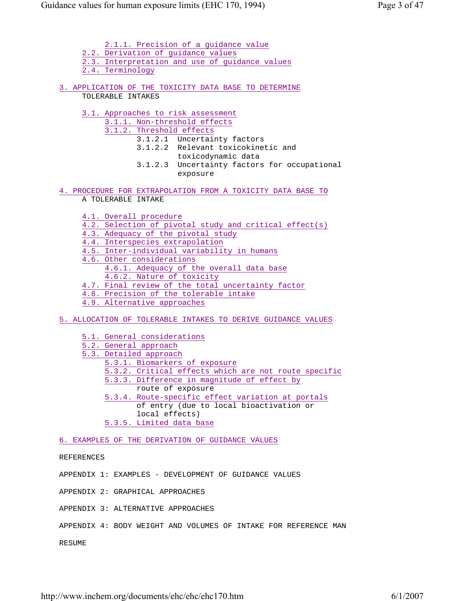2.1.1. Precision of a guidance value 2.2. Derivation of guidance values 2.3. Interpretation and use of guidance values 2.4. Terminology 3. APPLICATION OF THE TOXICITY DATA BASE TO DETERMINE TOLERABLE INTAKES 3.1. Approaches to risk assessment 3.1.1. Non-threshold effects 3.1.2. Threshold effects 3.1.2.1 Uncertainty factors 3.1.2.2 Relevant toxicokinetic and toxicodynamic data 3.1.2.3 Uncertainty factors for occupational exposure 4. PROCEDURE FOR EXTRAPOLATION FROM A TOXICITY DATA BASE TO A TOLERABLE INTAKE 4.1. Overall procedure 4.2. Selection of pivotal study and critical effect(s) 4.3. Adequacy of the pivotal study 4.4. Interspecies extrapolation 4.5. Inter-individual variability in humans 4.6. Other considerations 4.6.1. Adequacy of the overall data base 4.6.2. Nature of toxicity 4.7. Final review of the total uncertainty factor 4.8. Precision of the tolerable intake 4.9. Alternative approaches 5. ALLOCATION OF TOLERABLE INTAKES TO DERIVE GUIDANCE VALUES 5.1. General considerations 5.2. General approach 5.3. Detailed approach 5.3.1. Biomarkers of exposure 5.3.2. Critical effects which are not route specific 5.3.3. Difference in magnitude of effect by route of exposure 5.3.4. Route-specific effect variation at portals of entry (due to local bioactivation or local effects) 5.3.5. Limited data base 6. EXAMPLES OF THE DERIVATION OF GUIDANCE VALUES REFERENCES APPENDIX 1: EXAMPLES - DEVELOPMENT OF GUIDANCE VALUES APPENDIX 2: GRAPHICAL APPROACHES APPENDIX 3: ALTERNATIVE APPROACHES

APPENDIX 4: BODY WEIGHT AND VOLUMES OF INTAKE FOR REFERENCE MAN

RESUME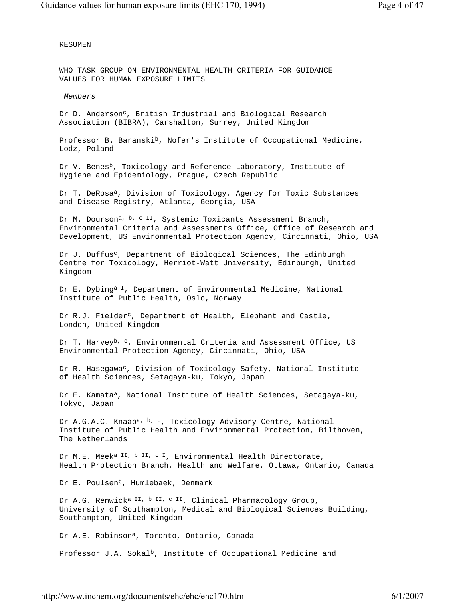RESUMEN

 WHO TASK GROUP ON ENVIRONMENTAL HEALTH CRITERIA FOR GUIDANCE VALUES FOR HUMAN EXPOSURE LIMITS

*Members*

Dr D. Anderson<sup>c</sup>, British Industrial and Biological Research Association (BIBRA), Carshalton, Surrey, United Kingdom

Professor B. Baranski<sup>b</sup>, Nofer's Institute of Occupational Medicine, Lodz, Poland

Dr V. Benes<sup>b</sup>, Toxicology and Reference Laboratory, Institute of Hygiene and Epidemiology, Prague, Czech Republic

Dr T. DeRosa<sup>a</sup>, Division of Toxicology, Agency for Toxic Substances and Disease Registry, Atlanta, Georgia, USA

Dr M. Dourson<sup>a, b, c II</sup>, Systemic Toxicants Assessment Branch, Environmental Criteria and Assessments Office, Office of Research and Development, US Environmental Protection Agency, Cincinnati, Ohio, USA

Dr J. Duffus<sup>c</sup>, Department of Biological Sciences, The Edinburgh Centre for Toxicology, Herriot-Watt University, Edinburgh, United Kingdom

Dr E. Dybing<sup>a I</sup>, Department of Environmental Medicine, National Institute of Public Health, Oslo, Norway

Dr R.J. Fielder<sup>c</sup>, Department of Health, Elephant and Castle, London, United Kingdom

Dr T. Harvey<sup>b, c</sup>, Environmental Criteria and Assessment Office, US Environmental Protection Agency, Cincinnati, Ohio, USA

Dr R. Hasegawa<sup>c</sup>, Division of Toxicology Safety, National Institute of Health Sciences, Setagaya-ku, Tokyo, Japan

Dr E. Kamata<sup>a</sup>, National Institute of Health Sciences, Setagaya-ku, Tokyo, Japan

Dr A.G.A.C. Knaap<sup>a, b, c</sup>, Toxicology Advisory Centre, National Institute of Public Health and Environmental Protection, Bilthoven, The Netherlands

Dr M.E. Meek<sup>a II, b II, c I</sup>, Environmental Health Directorate, Health Protection Branch, Health and Welfare, Ottawa, Ontario, Canada

Dr E. Poulsen<sup>b</sup>, Humlebaek, Denmark

Dr A.G. Renwick<sup>a II, b II, c II</sup>, Clinical Pharmacology Group, University of Southampton, Medical and Biological Sciences Building, Southampton, United Kingdom

Dr A.E. Robinson<sup>a</sup>, Toronto, Ontario, Canada

Professor J.A. Sokal<sup>b</sup>, Institute of Occupational Medicine and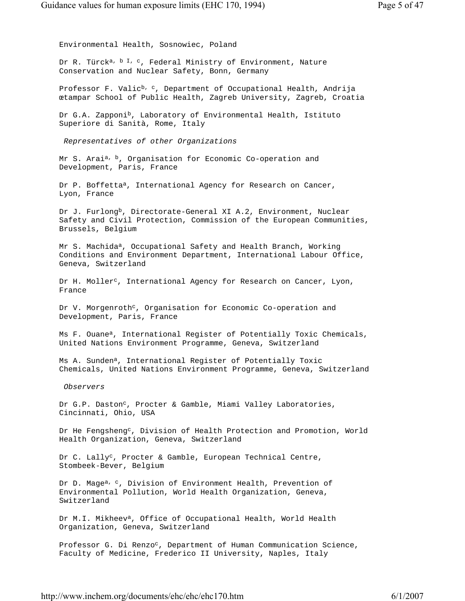Environmental Health, Sosnowiec, Poland Dr R. Türck<sup>a, b I, c</sup>, Federal Ministry of Environment, Nature Conservation and Nuclear Safety, Bonn, Germany Professor F. Valic<sup>b, c</sup>, Department of Occupational Health, Andrija œtampar School of Public Health, Zagreb University, Zagreb, Croatia Dr G.A. Zapponi<sup>b</sup>, Laboratory of Environmental Health, Istituto Superiore di Sanità, Rome, Italy *Representatives of other Organizations* Mr S. Arai<sup>a, b</sup>, Organisation for Economic Co-operation and Development, Paris, France Dr P. Boffetta<sup>a</sup>, International Agency for Research on Cancer, Lyon, France Dr J. Furlong<sup>b</sup>, Directorate-General XI A.2, Environment, Nuclear Safety and Civil Protection, Commission of the European Communities, Brussels, Belgium Mr S. Machida<sup>a</sup>, Occupational Safety and Health Branch, Working Conditions and Environment Department, International Labour Office, Geneva, Switzerland Dr H. Moller<sup>c</sup>, International Agency for Research on Cancer, Lyon, France Dr V. Morgenroth<sup>c</sup>, Organisation for Economic Co-operation and Development, Paris, France Ms F. Ouane<sup>a</sup>, International Register of Potentially Toxic Chemicals, United Nations Environment Programme, Geneva, Switzerland Ms A. Sunden<sup>a</sup>, International Register of Potentially Toxic Chemicals, United Nations Environment Programme, Geneva, Switzerland *Observers* Dr G.P. Daston<sup>c</sup>, Procter & Gamble, Miami Valley Laboratories, Cincinnati, Ohio, USA Dr He Fengsheng<sup>c</sup>, Division of Health Protection and Promotion, World Health Organization, Geneva, Switzerland Dr C. Lally<sup>c</sup>, Procter & Gamble, European Technical Centre, Stombeek-Bever, Belgium Dr D. Mage<sup>a, c</sup>, Division of Environment Health, Prevention of Environmental Pollution, World Health Organization, Geneva, Switzerland Dr M.I. Mikheev<sup>a</sup>, Office of Occupational Health, World Health Organization, Geneva, Switzerland Professor G. Di Renzo<sup>c</sup>, Department of Human Communication Science,

http://www.inchem.org/documents/ehc/ehc/ehc170.htm 6/1/2007

Faculty of Medicine, Frederico II University, Naples, Italy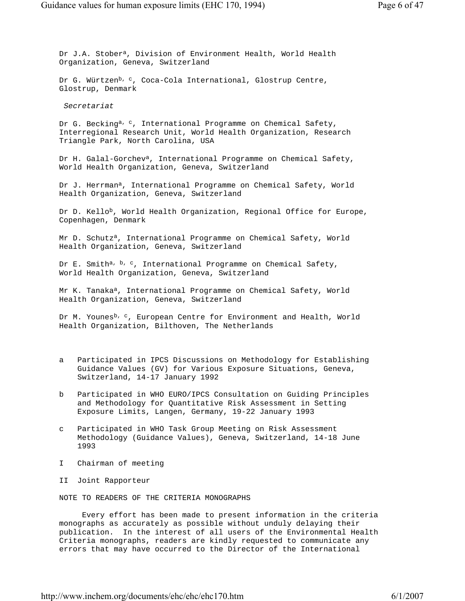Dr J.A. Stober<sup>a</sup>, Division of Environment Health, World Health Organization, Geneva, Switzerland

Dr G. Würtzen<sup>b, c</sup>, Coca-Cola International, Glostrup Centre, Glostrup, Denmark

*Secretariat*

Dr G. Becking<sup>a, c</sup>, International Programme on Chemical Safety, Interregional Research Unit, World Health Organization, Research Triangle Park, North Carolina, USA

 Dr H. Galal-Gorcheva, International Programme on Chemical Safety, World Health Organization, Geneva, Switzerland

Dr J. Herrman<sup>a</sup>, International Programme on Chemical Safety, World Health Organization, Geneva, Switzerland

Dr D. Kello<sup>b</sup>, World Health Organization, Regional Office for Europe, Copenhagen, Denmark

 Mr D. Schutza, International Programme on Chemical Safety, World Health Organization, Geneva, Switzerland

Dr E. Smith<sup>a, b, c</sup>, International Programme on Chemical Safety, World Health Organization, Geneva, Switzerland

Mr K. Tanaka<sup>a</sup>, International Programme on Chemical Safety, World Health Organization, Geneva, Switzerland

Dr M. Younes<sup>b, c</sup>, European Centre for Environment and Health, World Health Organization, Bilthoven, The Netherlands

- a Participated in IPCS Discussions on Methodology for Establishing Guidance Values (GV) for Various Exposure Situations, Geneva, Switzerland, 14-17 January 1992
- b Participated in WHO EURO/IPCS Consultation on Guiding Principles and Methodology for Quantitative Risk Assessment in Setting Exposure Limits, Langen, Germany, 19-22 January 1993
- c Participated in WHO Task Group Meeting on Risk Assessment Methodology (Guidance Values), Geneva, Switzerland, 14-18 June 1993
- I Chairman of meeting
- II Joint Rapporteur

NOTE TO READERS OF THE CRITERIA MONOGRAPHS

 Every effort has been made to present information in the criteria monographs as accurately as possible without unduly delaying their publication. In the interest of all users of the Environmental Health Criteria monographs, readers are kindly requested to communicate any errors that may have occurred to the Director of the International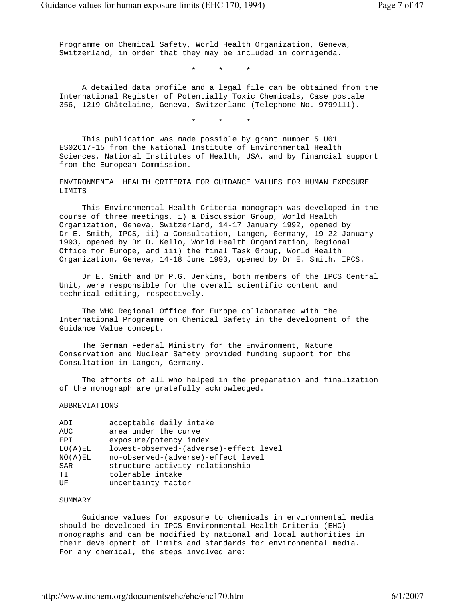Programme on Chemical Safety, World Health Organization, Geneva, Switzerland, in order that they may be included in corrigenda.

\* \* \*

 A detailed data profile and a legal file can be obtained from the International Register of Potentially Toxic Chemicals, Case postale 356, 1219 Châtelaine, Geneva, Switzerland (Telephone No. 9799111).

\* \* \*

 This publication was made possible by grant number 5 U01 ES02617-15 from the National Institute of Environmental Health Sciences, National Institutes of Health, USA, and by financial support from the European Commission.

 ENVIRONMENTAL HEALTH CRITERIA FOR GUIDANCE VALUES FOR HUMAN EXPOSURE LIMITS

 This Environmental Health Criteria monograph was developed in the course of three meetings, i) a Discussion Group, World Health Organization, Geneva, Switzerland, 14-17 January 1992, opened by Dr E. Smith, IPCS, ii) a Consultation, Langen, Germany, 19-22 January 1993, opened by Dr D. Kello, World Health Organization, Regional Office for Europe, and iii) the final Task Group, World Health Organization, Geneva, 14-18 June 1993, opened by Dr E. Smith, IPCS.

 Dr E. Smith and Dr P.G. Jenkins, both members of the IPCS Central Unit, were responsible for the overall scientific content and technical editing, respectively.

 The WHO Regional Office for Europe collaborated with the International Programme on Chemical Safety in the development of the Guidance Value concept.

 The German Federal Ministry for the Environment, Nature Conservation and Nuclear Safety provided funding support for the Consultation in Langen, Germany.

 The efforts of all who helped in the preparation and finalization of the monograph are gratefully acknowledged.

ABBREVIATIONS

| ADI                  | acceptable daily intake                |
|----------------------|----------------------------------------|
| AUC                  | area under the curve                   |
| EPI                  | exposure/potency index                 |
| LO(A)EL              | lowest-observed-(adverse)-effect level |
| NO(A) E <sub>L</sub> | no-observed-(adverse)-effect level     |
| SAR                  | structure-activity relationship        |
| TT.                  | tolerable intake                       |
| ŪF                   | uncertainty factor                     |

## SUMMARY

 Guidance values for exposure to chemicals in environmental media should be developed in IPCS Environmental Health Criteria (EHC) monographs and can be modified by national and local authorities in their development of limits and standards for environmental media. For any chemical, the steps involved are: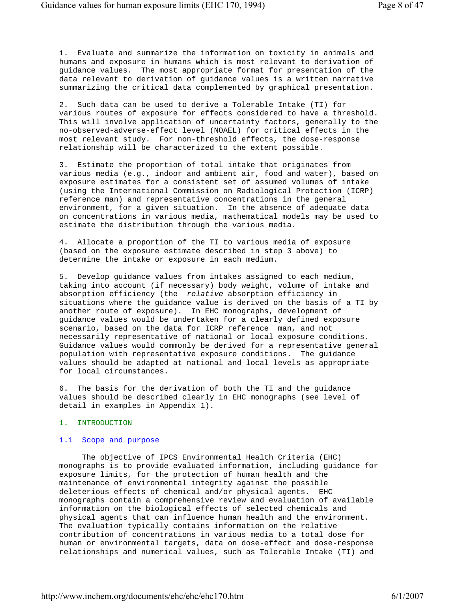1. Evaluate and summarize the information on toxicity in animals and humans and exposure in humans which is most relevant to derivation of guidance values. The most appropriate format for presentation of the data relevant to derivation of guidance values is a written narrative summarizing the critical data complemented by graphical presentation.

 2. Such data can be used to derive a Tolerable Intake (TI) for various routes of exposure for effects considered to have a threshold. This will involve application of uncertainty factors, generally to the no-observed-adverse-effect level (NOAEL) for critical effects in the most relevant study. For non-threshold effects, the dose-response relationship will be characterized to the extent possible.

 3. Estimate the proportion of total intake that originates from various media (e.g., indoor and ambient air, food and water), based on exposure estimates for a consistent set of assumed volumes of intake (using the International Commission on Radiological Protection (ICRP) reference man) and representative concentrations in the general environment, for a given situation. In the absence of adequate data on concentrations in various media, mathematical models may be used to estimate the distribution through the various media.

 4. Allocate a proportion of the TI to various media of exposure (based on the exposure estimate described in step 3 above) to determine the intake or exposure in each medium.

 5. Develop guidance values from intakes assigned to each medium, taking into account (if necessary) body weight, volume of intake and absorption efficiency (the *relative* absorption efficiency in situations where the guidance value is derived on the basis of a TI by another route of exposure). In EHC monographs, development of guidance values would be undertaken for a clearly defined exposure scenario, based on the data for ICRP reference man, and not necessarily representative of national or local exposure conditions. Guidance values would commonly be derived for a representative general population with representative exposure conditions. The guidance values should be adapted at national and local levels as appropriate for local circumstances.

 6. The basis for the derivation of both the TI and the guidance values should be described clearly in EHC monographs (see level of detail in examples in Appendix 1).

#### 1. INTRODUCTION

## 1.1 Scope and purpose

 The objective of IPCS Environmental Health Criteria (EHC) monographs is to provide evaluated information, including guidance for exposure limits, for the protection of human health and the maintenance of environmental integrity against the possible deleterious effects of chemical and/or physical agents. EHC monographs contain a comprehensive review and evaluation of available information on the biological effects of selected chemicals and physical agents that can influence human health and the environment. The evaluation typically contains information on the relative contribution of concentrations in various media to a total dose for human or environmental targets, data on dose-effect and dose-response relationships and numerical values, such as Tolerable Intake (TI) and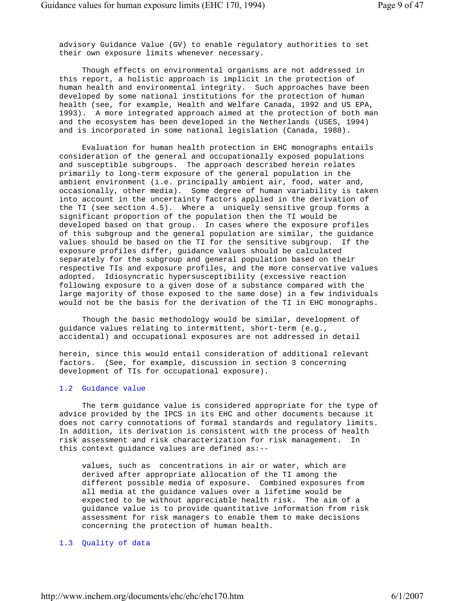advisory Guidance Value (GV) to enable regulatory authorities to set their own exposure limits whenever necessary.

 Though effects on environmental organisms are not addressed in this report, a holistic approach is implicit in the protection of human health and environmental integrity. Such approaches have been developed by some national institutions for the protection of human health (see, for example, Health and Welfare Canada, 1992 and US EPA, 1993). A more integrated approach aimed at the protection of both man and the ecosystem has been developed in the Netherlands (USES, 1994) and is incorporated in some national legislation (Canada, 1988).

 Evaluation for human health protection in EHC monographs entails consideration of the general and occupationally exposed populations and susceptible subgroups. The approach described herein relates primarily to long-term exposure of the general population in the ambient environment (i.e. principally ambient air, food, water and, occasionally, other media). Some degree of human variability is taken into account in the uncertainty factors applied in the derivation of the TI (see section 4.5). Where a uniquely sensitive group forms a significant proportion of the population then the TI would be developed based on that group. In cases where the exposure profiles of this subgroup and the general population are similar, the guidance values should be based on the TI for the sensitive subgroup. If the exposure profiles differ, guidance values should be calculated separately for the subgroup and general population based on their respective TIs and exposure profiles, and the more conservative values adopted. Idiosyncratic hypersusceptibility (excessive reaction following exposure to a given dose of a substance compared with the large majority of those exposed to the same dose) in a few individuals would not be the basis for the derivation of the TI in EHC monographs.

 Though the basic methodology would be similar, development of guidance values relating to intermittent, short-term (e.g., accidental) and occupational exposures are not addressed in detail

 herein, since this would entail consideration of additional relevant factors. (See, for example, discussion in section 3 concerning development of TIs for occupational exposure).

## 1.2 Guidance value

 The term guidance value is considered appropriate for the type of advice provided by the IPCS in its EHC and other documents because it does not carry connotations of formal standards and regulatory limits. In addition, its derivation is consistent with the process of health risk assessment and risk characterization for risk management. In this context guidance values are defined as:--

 values, such as concentrations in air or water, which are derived after appropriate allocation of the TI among the different possible media of exposure. Combined exposures from all media at the guidance values over a lifetime would be expected to be without appreciable health risk. The aim of a guidance value is to provide quantitative information from risk assessment for risk managers to enable them to make decisions concerning the protection of human health.

## 1.3 Quality of data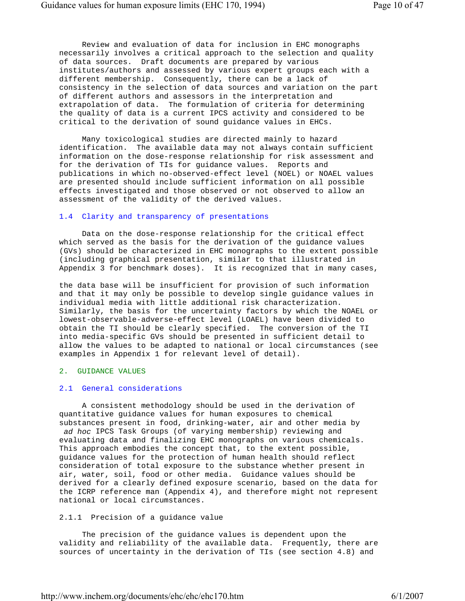Review and evaluation of data for inclusion in EHC monographs necessarily involves a critical approach to the selection and quality of data sources. Draft documents are prepared by various institutes/authors and assessed by various expert groups each with a different membership. Consequently, there can be a lack of consistency in the selection of data sources and variation on the part of different authors and assessors in the interpretation and extrapolation of data. The formulation of criteria for determining the quality of data is a current IPCS activity and considered to be critical to the derivation of sound guidance values in EHCs.

 Many toxicological studies are directed mainly to hazard identification. The available data may not always contain sufficient information on the dose-response relationship for risk assessment and for the derivation of TIs for guidance values. Reports and publications in which no-observed-effect level (NOEL) or NOAEL values are presented should include sufficient information on all possible effects investigated and those observed or not observed to allow an assessment of the validity of the derived values.

## 1.4 Clarity and transparency of presentations

 Data on the dose-response relationship for the critical effect which served as the basis for the derivation of the guidance values (GVs) should be characterized in EHC monographs to the extent possible (including graphical presentation, similar to that illustrated in Appendix 3 for benchmark doses). It is recognized that in many cases,

 the data base will be insufficient for provision of such information and that it may only be possible to develop single guidance values in individual media with little additional risk characterization. Similarly, the basis for the uncertainty factors by which the NOAEL or lowest-observable-adverse-effect level (LOAEL) have been divided to obtain the TI should be clearly specified. The conversion of the TI into media-specific GVs should be presented in sufficient detail to allow the values to be adapted to national or local circumstances (see examples in Appendix 1 for relevant level of detail).

## 2. GUIDANCE VALUES

## 2.1 General considerations

 A consistent methodology should be used in the derivation of quantitative guidance values for human exposures to chemical substances present in food, drinking-water, air and other media by *ad hoc* IPCS Task Groups (of varying membership) reviewing and evaluating data and finalizing EHC monographs on various chemicals. This approach embodies the concept that, to the extent possible, guidance values for the protection of human health should reflect consideration of total exposure to the substance whether present in air, water, soil, food or other media. Guidance values should be derived for a clearly defined exposure scenario, based on the data for the ICRP reference man (Appendix 4), and therefore might not represent national or local circumstances.

## 2.1.1 Precision of a guidance value

 The precision of the guidance values is dependent upon the validity and reliability of the available data. Frequently, there are sources of uncertainty in the derivation of TIs (see section 4.8) and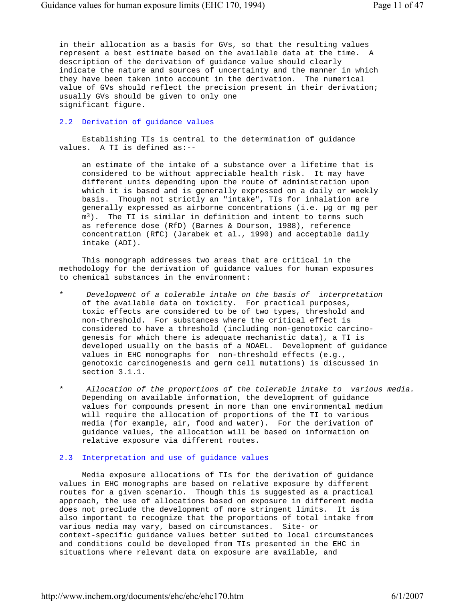in their allocation as a basis for GVs, so that the resulting values represent a best estimate based on the available data at the time. A description of the derivation of guidance value should clearly indicate the nature and sources of uncertainty and the manner in which they have been taken into account in the derivation. The numerical value of GVs should reflect the precision present in their derivation; usually GVs should be given to only one significant figure.

## 2.2 Derivation of guidance values

 Establishing TIs is central to the determination of guidance values. A TI is defined as:--

 an estimate of the intake of a substance over a lifetime that is considered to be without appreciable health risk. It may have different units depending upon the route of administration upon which it is based and is generally expressed on a daily or weekly basis. Though not strictly an "intake", TIs for inhalation are generally expressed as airborne concentrations (i.e. µg or mg per  $m<sup>3</sup>$ ). The TI is similar in definition and intent to terms such as reference dose (RfD) (Barnes & Dourson, 1988), reference concentration (RfC) (Jarabek et al., 1990) and acceptable daily intake (ADI).

 This monograph addresses two areas that are critical in the methodology for the derivation of guidance values for human exposures to chemical substances in the environment:

- \* *Development of a tolerable intake on the basis of interpretation* of the available data on toxicity. For practical purposes, toxic effects are considered to be of two types, threshold and non-threshold. For substances where the critical effect is considered to have a threshold (including non-genotoxic carcino genesis for which there is adequate mechanistic data), a TI is developed usually on the basis of a NOAEL. Development of guidance values in EHC monographs for non-threshold effects (e.g., genotoxic carcinogenesis and germ cell mutations) is discussed in section 3.1.1.
- \* *Allocation of the proportions of the tolerable intake to various media.* Depending on available information, the development of guidance values for compounds present in more than one environmental medium will require the allocation of proportions of the TI to various media (for example, air, food and water). For the derivation of guidance values, the allocation will be based on information on relative exposure via different routes.

## 2.3 Interpretation and use of guidance values

 Media exposure allocations of TIs for the derivation of guidance values in EHC monographs are based on relative exposure by different routes for a given scenario. Though this is suggested as a practical approach, the use of allocations based on exposure in different media does not preclude the development of more stringent limits. It is also important to recognize that the proportions of total intake from various media may vary, based on circumstances. Site- or context-specific guidance values better suited to local circumstances and conditions could be developed from TIs presented in the EHC in situations where relevant data on exposure are available, and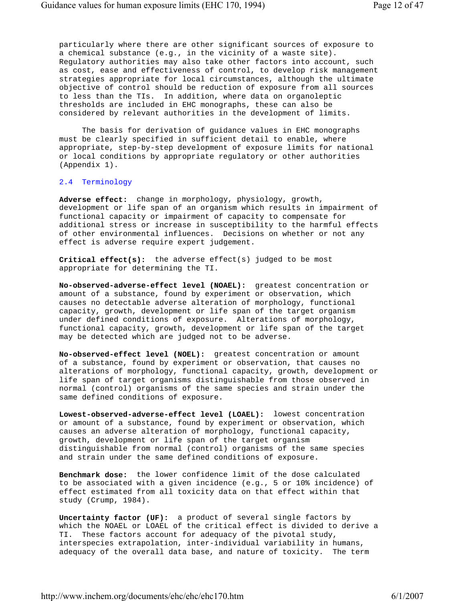particularly where there are other significant sources of exposure to a chemical substance (e.g., in the vicinity of a waste site). Regulatory authorities may also take other factors into account, such as cost, ease and effectiveness of control, to develop risk management strategies appropriate for local circumstances, although the ultimate objective of control should be reduction of exposure from all sources to less than the TIs. In addition, where data on organoleptic thresholds are included in EHC monographs, these can also be considered by relevant authorities in the development of limits.

 The basis for derivation of guidance values in EHC monographs must be clearly specified in sufficient detail to enable, where appropriate, step-by-step development of exposure limits for national or local conditions by appropriate regulatory or other authorities (Appendix 1).

## 2.4 Terminology

 **Adverse effect:** change in morphology, physiology, growth, development or life span of an organism which results in impairment of functional capacity or impairment of capacity to compensate for additional stress or increase in susceptibility to the harmful effects of other environmental influences. Decisions on whether or not any effect is adverse require expert judgement.

 **Critical effect(s):** the adverse effect(s) judged to be most appropriate for determining the TI.

 **No-observed-adverse-effect level (NOAEL):** greatest concentration or amount of a substance, found by experiment or observation, which causes no detectable adverse alteration of morphology, functional capacity, growth, development or life span of the target organism under defined conditions of exposure. Alterations of morphology, functional capacity, growth, development or life span of the target may be detected which are judged not to be adverse.

 **No-observed-effect level (NOEL):** greatest concentration or amount of a substance, found by experiment or observation, that causes no alterations of morphology, functional capacity, growth, development or life span of target organisms distinguishable from those observed in normal (control) organisms of the same species and strain under the same defined conditions of exposure.

 **Lowest-observed-adverse-effect level (LOAEL):** lowest concentration or amount of a substance, found by experiment or observation, which causes an adverse alteration of morphology, functional capacity, growth, development or life span of the target organism distinguishable from normal (control) organisms of the same species and strain under the same defined conditions of exposure.

 **Benchmark dose:** the lower confidence limit of the dose calculated to be associated with a given incidence (e.g., 5 or 10% incidence) of effect estimated from all toxicity data on that effect within that study (Crump, 1984).

 **Uncertainty factor (UF):** a product of several single factors by which the NOAEL or LOAEL of the critical effect is divided to derive a TI. These factors account for adequacy of the pivotal study, interspecies extrapolation, inter-individual variability in humans, adequacy of the overall data base, and nature of toxicity. The term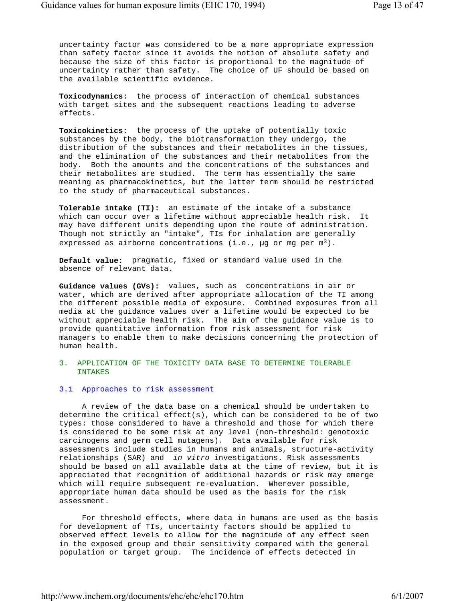uncertainty factor was considered to be a more appropriate expression than safety factor since it avoids the notion of absolute safety and because the size of this factor is proportional to the magnitude of uncertainty rather than safety. The choice of UF should be based on the available scientific evidence.

 **Toxicodynamics:** the process of interaction of chemical substances with target sites and the subsequent reactions leading to adverse effects.

 **Toxicokinetics:** the process of the uptake of potentially toxic substances by the body, the biotransformation they undergo, the distribution of the substances and their metabolites in the tissues, and the elimination of the substances and their metabolites from the body. Both the amounts and the concentrations of the substances and their metabolites are studied. The term has essentially the same meaning as pharmacokinetics, but the latter term should be restricted to the study of pharmaceutical substances.

 **Tolerable intake (TI):** an estimate of the intake of a substance which can occur over a lifetime without appreciable health risk. It may have different units depending upon the route of administration. Though not strictly an "intake", TIs for inhalation are generally expressed as airborne concentrations (i.e.,  $\mu q$  or mq per  $m^3$ ).

 **Default value:** pragmatic, fixed or standard value used in the absence of relevant data.

 **Guidance values (GVs):** values, such as concentrations in air or water, which are derived after appropriate allocation of the TI among the different possible media of exposure. Combined exposures from all media at the guidance values over a lifetime would be expected to be without appreciable health risk. The aim of the guidance value is to provide quantitative information from risk assessment for risk managers to enable them to make decisions concerning the protection of human health.

## 3. APPLICATION OF THE TOXICITY DATA BASE TO DETERMINE TOLERABLE INTAKES

## 3.1 Approaches to risk assessment

 A review of the data base on a chemical should be undertaken to determine the critical effect(s), which can be considered to be of two types: those considered to have a threshold and those for which there is considered to be some risk at any level (non-threshold: genotoxic carcinogens and germ cell mutagens). Data available for risk assessments include studies in humans and animals, structure-activity relationships (SAR) and *in vitro* investigations. Risk assessments should be based on all available data at the time of review, but it is appreciated that recognition of additional hazards or risk may emerge which will require subsequent re-evaluation. Wherever possible, appropriate human data should be used as the basis for the risk assessment.

 For threshold effects, where data in humans are used as the basis for development of TIs, uncertainty factors should be applied to observed effect levels to allow for the magnitude of any effect seen in the exposed group and their sensitivity compared with the general population or target group. The incidence of effects detected in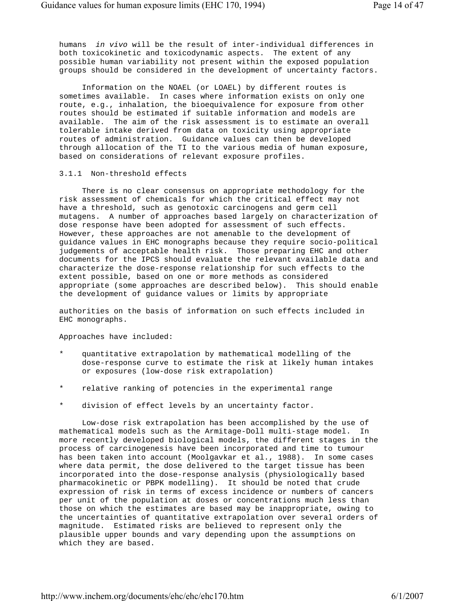humans *in vivo* will be the result of inter-individual differences in both toxicokinetic and toxicodynamic aspects. The extent of any possible human variability not present within the exposed population groups should be considered in the development of uncertainty factors.

 Information on the NOAEL (or LOAEL) by different routes is sometimes available. In cases where information exists on only one route, e.g., inhalation, the bioequivalence for exposure from other routes should be estimated if suitable information and models are available. The aim of the risk assessment is to estimate an overall tolerable intake derived from data on toxicity using appropriate routes of administration. Guidance values can then be developed through allocation of the TI to the various media of human exposure, based on considerations of relevant exposure profiles.

## 3.1.1 Non-threshold effects

 There is no clear consensus on appropriate methodology for the risk assessment of chemicals for which the critical effect may not have a threshold, such as genotoxic carcinogens and germ cell mutagens. A number of approaches based largely on characterization of dose response have been adopted for assessment of such effects. However, these approaches are not amenable to the development of guidance values in EHC monographs because they require socio-political judgements of acceptable health risk. Those preparing EHC and other documents for the IPCS should evaluate the relevant available data and characterize the dose-response relationship for such effects to the extent possible, based on one or more methods as considered appropriate (some approaches are described below). This should enable the development of guidance values or limits by appropriate

 authorities on the basis of information on such effects included in EHC monographs.

Approaches have included:

- quantitative extrapolation by mathematical modelling of the dose-response curve to estimate the risk at likely human intakes or exposures (low-dose risk extrapolation)
- \* relative ranking of potencies in the experimental range
- division of effect levels by an uncertainty factor.

 Low-dose risk extrapolation has been accomplished by the use of mathematical models such as the Armitage-Doll multi-stage model. In more recently developed biological models, the different stages in the process of carcinogenesis have been incorporated and time to tumour has been taken into account (Moolgavkar et al., 1988). In some cases where data permit, the dose delivered to the target tissue has been incorporated into the dose-response analysis (physiologically based pharmacokinetic or PBPK modelling). It should be noted that crude expression of risk in terms of excess incidence or numbers of cancers per unit of the population at doses or concentrations much less than those on which the estimates are based may be inappropriate, owing to the uncertainties of quantitative extrapolation over several orders of magnitude. Estimated risks are believed to represent only the plausible upper bounds and vary depending upon the assumptions on which they are based.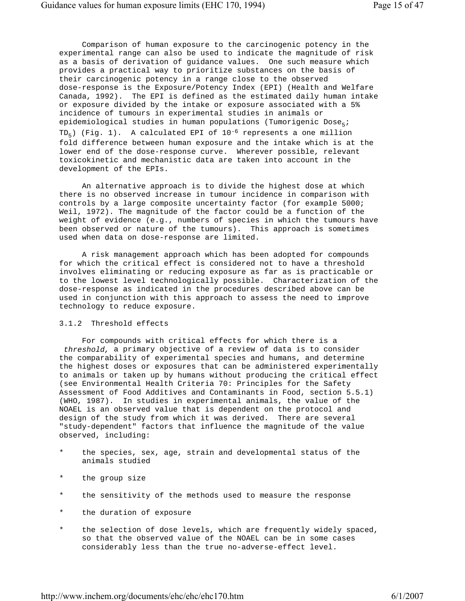Comparison of human exposure to the carcinogenic potency in the experimental range can also be used to indicate the magnitude of risk as a basis of derivation of guidance values. One such measure which provides a practical way to prioritize substances on the basis of their carcinogenic potency in a range close to the observed dose-response is the Exposure/Potency Index (EPI) (Health and Welfare Canada, 1992). The EPI is defined as the estimated daily human intake or exposure divided by the intake or exposure associated with a 5% incidence of tumours in experimental studies in animals or epidemiological studies in human populations (Tumorigenic Dose<sub>5</sub>;  $TD<sub>5</sub>$ ) (Fig. 1). A calculated EPI of 10<sup>-6</sup> represents a one million fold difference between human exposure and the intake which is at the lower end of the dose-response curve. Wherever possible, relevant toxicokinetic and mechanistic data are taken into account in the development of the EPIs.

 An alternative approach is to divide the highest dose at which there is no observed increase in tumour incidence in comparison with controls by a large composite uncertainty factor (for example 5000; Weil, 1972). The magnitude of the factor could be a function of the weight of evidence (e.g., numbers of species in which the tumours have been observed or nature of the tumours). This approach is sometimes used when data on dose-response are limited.

 A risk management approach which has been adopted for compounds for which the critical effect is considered not to have a threshold involves eliminating or reducing exposure as far as is practicable or to the lowest level technologically possible. Characterization of the dose-response as indicated in the procedures described above can be used in conjunction with this approach to assess the need to improve technology to reduce exposure.

## 3.1.2 Threshold effects

 For compounds with critical effects for which there is a *threshold,* a primary objective of a review of data is to consider the comparability of experimental species and humans, and determine the highest doses or exposures that can be administered experimentally to animals or taken up by humans without producing the critical effect (see Environmental Health Criteria 70: Principles for the Safety Assessment of Food Additives and Contaminants in Food, section 5.5.1) (WHO, 1987). In studies in experimental animals, the value of the NOAEL is an observed value that is dependent on the protocol and design of the study from which it was derived. There are several "study-dependent" factors that influence the magnitude of the value observed, including:

- the species, sex, age, strain and developmental status of the animals studied
- \* the group size
- the sensitivity of the methods used to measure the response
- \* the duration of exposure
- \* the selection of dose levels, which are frequently widely spaced, so that the observed value of the NOAEL can be in some cases considerably less than the true no-adverse-effect level.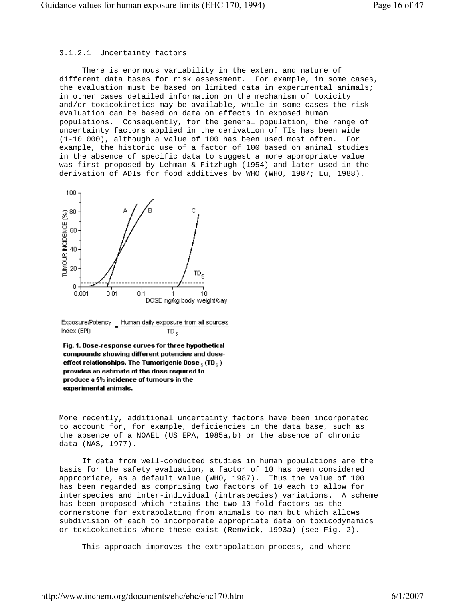# 3.1.2.1 Uncertainty factors

 There is enormous variability in the extent and nature of different data bases for risk assessment. For example, in some cases, the evaluation must be based on limited data in experimental animals; in other cases detailed information on the mechanism of toxicity and/or toxicokinetics may be available, while in some cases the risk evaluation can be based on data on effects in exposed human populations. Consequently, for the general population, the range of uncertainty factors applied in the derivation of TIs has been wide (1-10 000), although a value of 100 has been used most often. For example, the historic use of a factor of 100 based on animal studies in the absence of specific data to suggest a more appropriate value was first proposed by Lehman & Fitzhugh (1954) and later used in the derivation of ADIs for food additives by WHO (WHO, 1987; Lu, 1988).



Exposure/Potency \_ Human daily exposure from all sources Index (EPI) TD,

Fig. 1. Dose-response curves for three hypothetical compounds showing different potencies and doseeffect relationships. The Tumorigenic Dose, (TD,) provides an estimate of the dose required to produce a 5% incidence of tumours in the experimental animals.

 More recently, additional uncertainty factors have been incorporated to account for, for example, deficiencies in the data base, such as the absence of a NOAEL (US EPA, 1985a,b) or the absence of chronic data (NAS, 1977).

 If data from well-conducted studies in human populations are the basis for the safety evaluation, a factor of 10 has been considered appropriate, as a default value (WHO, 1987). Thus the value of 100 has been regarded as comprising two factors of 10 each to allow for interspecies and inter-individual (intraspecies) variations. A scheme has been proposed which retains the two 10-fold factors as the cornerstone for extrapolating from animals to man but which allows subdivision of each to incorporate appropriate data on toxicodynamics or toxicokinetics where these exist (Renwick, 1993a) (see Fig. 2).

This approach improves the extrapolation process, and where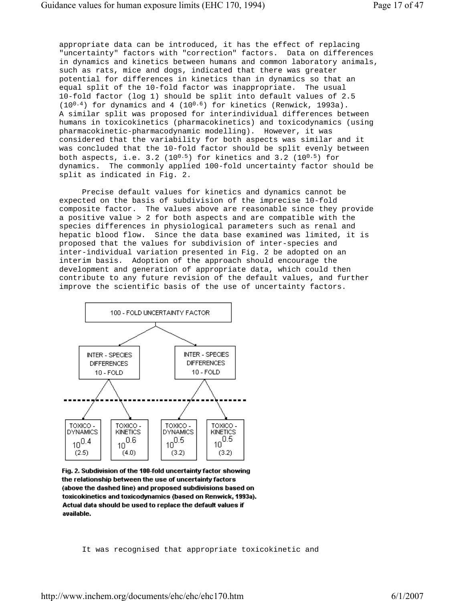appropriate data can be introduced, it has the effect of replacing "uncertainty" factors with "correction" factors. Data on differences in dynamics and kinetics between humans and common laboratory animals, such as rats, mice and dogs, indicated that there was greater potential for differences in kinetics than in dynamics so that an equal split of the 10-fold factor was inappropriate. The usual 10-fold factor (log 1) should be split into default values of 2.5  $(10^{0.4})$  for dynamics and 4  $(10^{0.6})$  for kinetics (Renwick, 1993a). A similar split was proposed for interindividual differences between humans in toxicokinetics (pharmacokinetics) and toxicodynamics (using pharmacokinetic-pharmacodynamic modelling). However, it was considered that the variability for both aspects was similar and it was concluded that the 10-fold factor should be split evenly between both aspects, i.e. 3.2 (10<sup>0.5</sup>) for kinetics and 3.2 (10<sup>0.5</sup>) for dynamics. The commonly applied 100-fold uncertainty factor should be split as indicated in Fig. 2.

 Precise default values for kinetics and dynamics cannot be expected on the basis of subdivision of the imprecise 10-fold composite factor. The values above are reasonable since they provide a positive value > 2 for both aspects and are compatible with the species differences in physiological parameters such as renal and hepatic blood flow. Since the data base examined was limited, it is proposed that the values for subdivision of inter-species and inter-individual variation presented in Fig. 2 be adopted on an interim basis. Adoption of the approach should encourage the development and generation of appropriate data, which could then contribute to any future revision of the default values, and further improve the scientific basis of the use of uncertainty factors.



Fig. 2. Subdivision of the 100-fold uncertainty factor showing the relationship between the use of uncertainty factors (above the dashed line) and proposed subdivisions based on toxicokinetics and toxicodynamics (based on Renwick, 1993a). Actual data should be used to replace the default values if available.

It was recognised that appropriate toxicokinetic and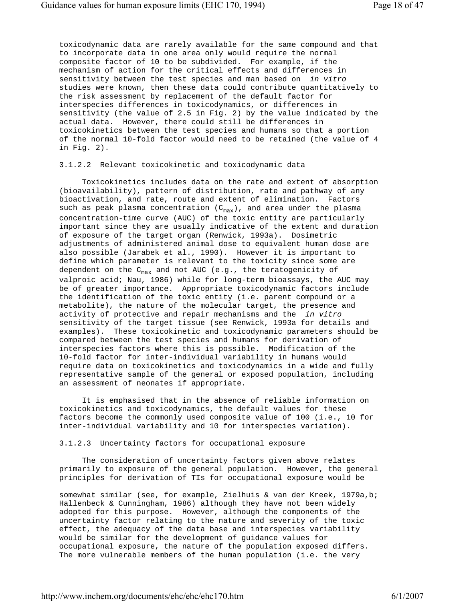toxicodynamic data are rarely available for the same compound and that to incorporate data in one area only would require the normal composite factor of 10 to be subdivided. For example, if the mechanism of action for the critical effects and differences in sensitivity between the test species and man based on *in vitro* studies were known, then these data could contribute quantitatively to the risk assessment by replacement of the default factor for interspecies differences in toxicodynamics, or differences in sensitivity (the value of 2.5 in Fig. 2) by the value indicated by the actual data. However, there could still be differences in toxicokinetics between the test species and humans so that a portion of the normal 10-fold factor would need to be retained (the value of 4 in Fig. 2).

## 3.1.2.2 Relevant toxicokinetic and toxicodynamic data

 Toxicokinetics includes data on the rate and extent of absorption (bioavailability), pattern of distribution, rate and pathway of any bioactivation, and rate, route and extent of elimination. Factors such as peak plasma concentration  $(C_{max})$ , and area under the plasma concentration-time curve (AUC) of the toxic entity are particularly important since they are usually indicative of the extent and duration of exposure of the target organ (Renwick, 1993a). Dosimetric adjustments of administered animal dose to equivalent human dose are also possible (Jarabek et al., 1990). However it is important to define which parameter is relevant to the toxicity since some are dependent on the  $C_{max}$  and not AUC (e.g., the teratogenicity of valproic acid; Nau, 1986) while for long-term bioassays, the AUC may be of greater importance. Appropriate toxicodynamic factors include the identification of the toxic entity (i.e. parent compound or a metabolite), the nature of the molecular target, the presence and activity of protective and repair mechanisms and the *in vitro* sensitivity of the target tissue (see Renwick, 1993a for details and examples). These toxicokinetic and toxicodynamic parameters should be compared between the test species and humans for derivation of interspecies factors where this is possible. Modification of the 10-fold factor for inter-individual variability in humans would require data on toxicokinetics and toxicodynamics in a wide and fully representative sample of the general or exposed population, including an assessment of neonates if appropriate.

 It is emphasised that in the absence of reliable information on toxicokinetics and toxicodynamics, the default values for these factors become the commonly used composite value of 100 (i.e., 10 for inter-individual variability and 10 for interspecies variation).

#### 3.1.2.3 Uncertainty factors for occupational exposure

 The consideration of uncertainty factors given above relates primarily to exposure of the general population. However, the general principles for derivation of TIs for occupational exposure would be

 somewhat similar (see, for example, Zielhuis & van der Kreek, 1979a,b; Hallenbeck & Cunningham, 1986) although they have not been widely adopted for this purpose. However, although the components of the uncertainty factor relating to the nature and severity of the toxic effect, the adequacy of the data base and interspecies variability would be similar for the development of guidance values for occupational exposure, the nature of the population exposed differs. The more vulnerable members of the human population (i.e. the very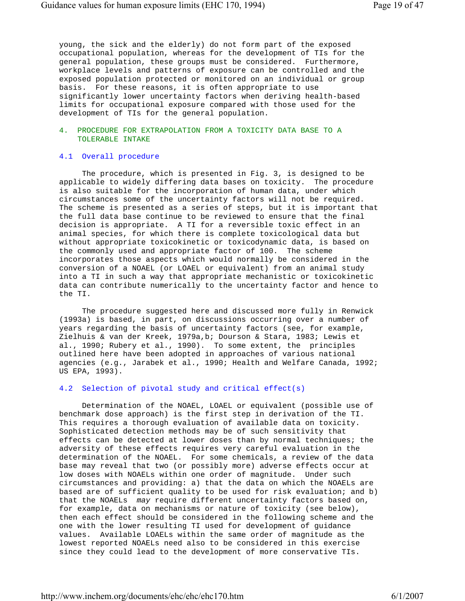young, the sick and the elderly) do not form part of the exposed occupational population, whereas for the development of TIs for the general population, these groups must be considered. Furthermore, workplace levels and patterns of exposure can be controlled and the exposed population protected or monitored on an individual or group basis. For these reasons, it is often appropriate to use significantly lower uncertainty factors when deriving health-based limits for occupational exposure compared with those used for the development of TIs for the general population.

## 4. PROCEDURE FOR EXTRAPOLATION FROM A TOXICITY DATA BASE TO A TOLERABLE INTAKE

## 4.1 Overall procedure

 The procedure, which is presented in Fig. 3, is designed to be applicable to widely differing data bases on toxicity. The procedure is also suitable for the incorporation of human data, under which circumstances some of the uncertainty factors will not be required. The scheme is presented as a series of steps, but it is important that the full data base continue to be reviewed to ensure that the final decision is appropriate. A TI for a reversible toxic effect in an animal species, for which there is complete toxicological data but without appropriate toxicokinetic or toxicodynamic data, is based on the commonly used and appropriate factor of 100. The scheme incorporates those aspects which would normally be considered in the conversion of a NOAEL (or LOAEL or equivalent) from an animal study into a TI in such a way that appropriate mechanistic or toxicokinetic data can contribute numerically to the uncertainty factor and hence to the TI.

 The procedure suggested here and discussed more fully in Renwick (1993a) is based, in part, on discussions occurring over a number of years regarding the basis of uncertainty factors (see, for example, Zielhuis & van der Kreek, 1979a,b; Dourson & Stara, 1983; Lewis et al., 1990; Rubery et al., 1990). To some extent, the principles outlined here have been adopted in approaches of various national agencies (e.g., Jarabek et al., 1990; Health and Welfare Canada, 1992; US EPA, 1993).

## 4.2 Selection of pivotal study and critical effect(s)

 Determination of the NOAEL, LOAEL or equivalent (possible use of benchmark dose approach) is the first step in derivation of the TI. This requires a thorough evaluation of available data on toxicity. Sophisticated detection methods may be of such sensitivity that effects can be detected at lower doses than by normal techniques; the adversity of these effects requires very careful evaluation in the determination of the NOAEL. For some chemicals, a review of the data base may reveal that two (or possibly more) adverse effects occur at low doses with NOAELs within one order of magnitude. Under such circumstances and providing: a) that the data on which the NOAELs are based are of sufficient quality to be used for risk evaluation; and b) that the NOAELs *may* require different uncertainty factors based on, for example, data on mechanisms or nature of toxicity (see below), then each effect should be considered in the following scheme and the one with the lower resulting TI used for development of guidance values. Available LOAELs within the same order of magnitude as the lowest reported NOAELs need also to be considered in this exercise since they could lead to the development of more conservative TIs.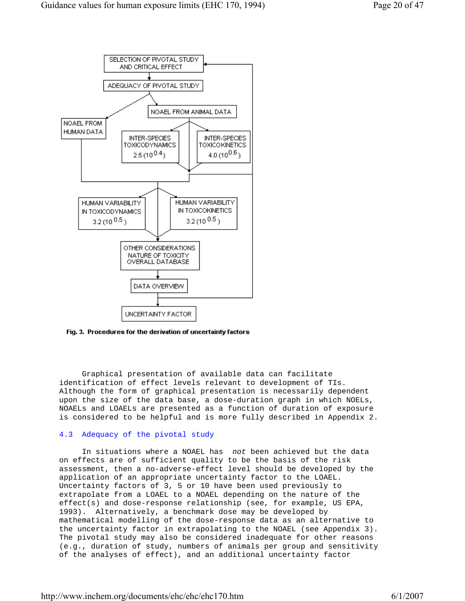

Fig. 3. Procedures for the derivation of uncertainty factors

 Graphical presentation of available data can facilitate identification of effect levels relevant to development of TIs. Although the form of graphical presentation is necessarily dependent upon the size of the data base, a dose-duration graph in which NOELs, NOAELs and LOAELs are presented as a function of duration of exposure is considered to be helpful and is more fully described in Appendix 2.

## 4.3 Adequacy of the pivotal study

 In situations where a NOAEL has *not* been achieved but the data on effects are of sufficient quality to be the basis of the risk assessment, then a no-adverse-effect level should be developed by the application of an appropriate uncertainty factor to the LOAEL. Uncertainty factors of 3, 5 or 10 have been used previously to extrapolate from a LOAEL to a NOAEL depending on the nature of the effect(s) and dose-response relationship (see, for example, US EPA, 1993). Alternatively, a benchmark dose may be developed by mathematical modelling of the dose-response data as an alternative to the uncertainty factor in extrapolating to the NOAEL (see Appendix 3). The pivotal study may also be considered inadequate for other reasons (e.g., duration of study, numbers of animals per group and sensitivity of the analyses of effect), and an additional uncertainty factor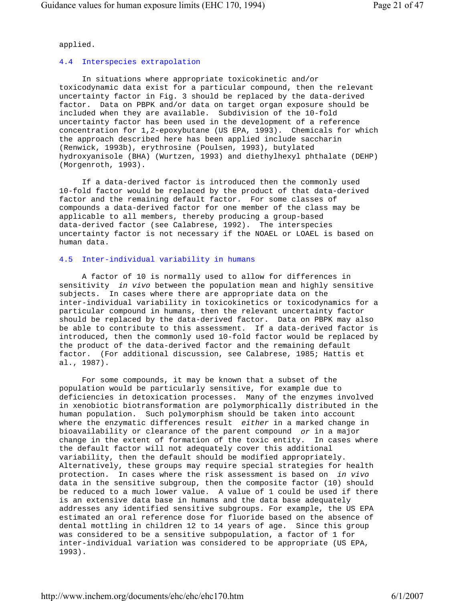applied.

# 4.4 Interspecies extrapolation

 In situations where appropriate toxicokinetic and/or toxicodynamic data exist for a particular compound, then the relevant uncertainty factor in Fig. 3 should be replaced by the data-derived factor. Data on PBPK and/or data on target organ exposure should be included when they are available. Subdivision of the 10-fold uncertainty factor has been used in the development of a reference concentration for 1,2-epoxybutane (US EPA, 1993). Chemicals for which the approach described here has been applied include saccharin (Renwick, 1993b), erythrosine (Poulsen, 1993), butylated hydroxyanisole (BHA) (Wurtzen, 1993) and diethylhexyl phthalate (DEHP) (Morgenroth, 1993).

 If a data-derived factor is introduced then the commonly used 10-fold factor would be replaced by the product of that data-derived factor and the remaining default factor. For some classes of compounds a data-derived factor for one member of the class may be applicable to all members, thereby producing a group-based data-derived factor (see Calabrese, 1992). The interspecies uncertainty factor is not necessary if the NOAEL or LOAEL is based on human data.

# 4.5 Inter-individual variability in humans

 A factor of 10 is normally used to allow for differences in sensitivity *in vivo* between the population mean and highly sensitive subjects. In cases where there are appropriate data on the inter-individual variability in toxicokinetics or toxicodynamics for a particular compound in humans, then the relevant uncertainty factor should be replaced by the data-derived factor. Data on PBPK may also be able to contribute to this assessment. If a data-derived factor is introduced, then the commonly used 10-fold factor would be replaced by the product of the data-derived factor and the remaining default factor. (For additional discussion, see Calabrese, 1985; Hattis et al., 1987).

 For some compounds, it may be known that a subset of the population would be particularly sensitive, for example due to deficiencies in detoxication processes. Many of the enzymes involved in xenobiotic biotransformation are polymorphically distributed in the human population. Such polymorphism should be taken into account where the enzymatic differences result *either* in a marked change in bioavailability or clearance of the parent compound *or* in a major change in the extent of formation of the toxic entity. In cases where the default factor will not adequately cover this additional variability, then the default should be modified appropriately. Alternatively, these groups may require special strategies for health protection. In cases where the risk assessment is based on *in vivo* data in the sensitive subgroup, then the composite factor (10) should be reduced to a much lower value. A value of 1 could be used if there is an extensive data base in humans and the data base adequately addresses any identified sensitive subgroups. For example, the US EPA estimated an oral reference dose for fluoride based on the absence of dental mottling in children 12 to 14 years of age. Since this group was considered to be a sensitive subpopulation, a factor of 1 for inter-individual variation was considered to be appropriate (US EPA, 1993).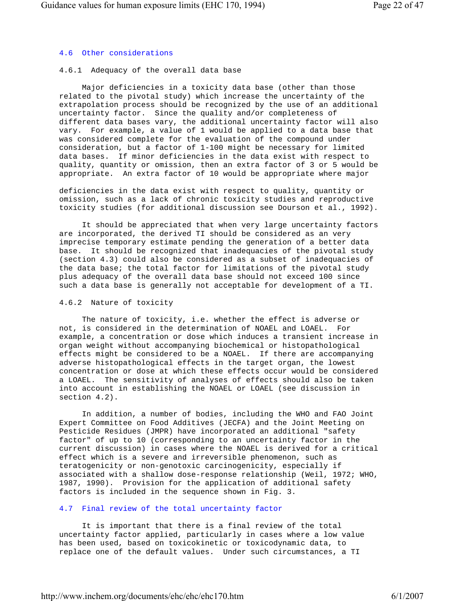# 4.6 Other considerations

# 4.6.1 Adequacy of the overall data base

 Major deficiencies in a toxicity data base (other than those related to the pivotal study) which increase the uncertainty of the extrapolation process should be recognized by the use of an additional uncertainty factor. Since the quality and/or completeness of different data bases vary, the additional uncertainty factor will also vary. For example, a value of 1 would be applied to a data base that was considered complete for the evaluation of the compound under consideration, but a factor of 1-100 might be necessary for limited data bases. If minor deficiencies in the data exist with respect to quality, quantity or omission, then an extra factor of 3 or 5 would be appropriate. An extra factor of 10 would be appropriate where major

 deficiencies in the data exist with respect to quality, quantity or omission, such as a lack of chronic toxicity studies and reproductive toxicity studies (for additional discussion see Dourson et al., 1992).

 It should be appreciated that when very large uncertainty factors are incorporated, the derived TI should be considered as an very imprecise temporary estimate pending the generation of a better data base. It should be recognized that inadequacies of the pivotal study (section 4.3) could also be considered as a subset of inadequacies of the data base; the total factor for limitations of the pivotal study plus adequacy of the overall data base should not exceed 100 since such a data base is generally not acceptable for development of a TI.

# 4.6.2 Nature of toxicity

 The nature of toxicity, i.e. whether the effect is adverse or not, is considered in the determination of NOAEL and LOAEL. For example, a concentration or dose which induces a transient increase in organ weight without accompanying biochemical or histopathological effects might be considered to be a NOAEL. If there are accompanying adverse histopathological effects in the target organ, the lowest concentration or dose at which these effects occur would be considered a LOAEL. The sensitivity of analyses of effects should also be taken into account in establishing the NOAEL or LOAEL (see discussion in section 4.2).

 In addition, a number of bodies, including the WHO and FAO Joint Expert Committee on Food Additives (JECFA) and the Joint Meeting on Pesticide Residues (JMPR) have incorporated an additional "safety factor" of up to 10 (corresponding to an uncertainty factor in the current discussion) in cases where the NOAEL is derived for a critical effect which is a severe and irreversible phenomenon, such as teratogenicity or non-genotoxic carcinogenicity, especially if associated with a shallow dose-response relationship (Weil, 1972; WHO, 1987, 1990). Provision for the application of additional safety factors is included in the sequence shown in Fig. 3.

# 4.7 Final review of the total uncertainty factor

 It is important that there is a final review of the total uncertainty factor applied, particularly in cases where a low value has been used, based on toxicokinetic or toxicodynamic data, to replace one of the default values. Under such circumstances, a TI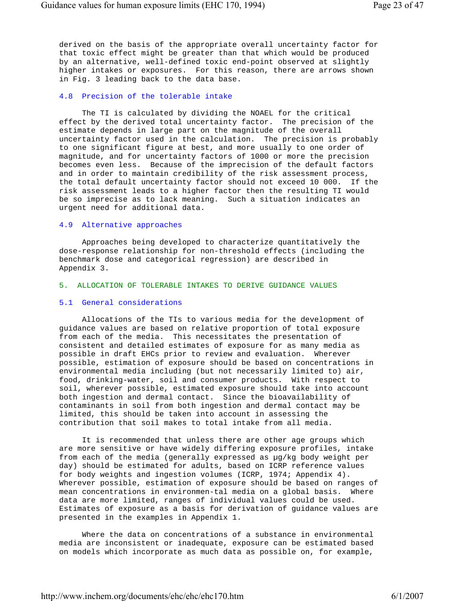derived on the basis of the appropriate overall uncertainty factor for that toxic effect might be greater than that which would be produced by an alternative, well-defined toxic end-point observed at slightly higher intakes or exposures. For this reason, there are arrows shown in Fig. 3 leading back to the data base.

## 4.8 Precision of the tolerable intake

 The TI is calculated by dividing the NOAEL for the critical effect by the derived total uncertainty factor. The precision of the estimate depends in large part on the magnitude of the overall uncertainty factor used in the calculation. The precision is probably to one significant figure at best, and more usually to one order of magnitude, and for uncertainty factors of 1000 or more the precision becomes even less. Because of the imprecision of the default factors and in order to maintain credibility of the risk assessment process, the total default uncertainty factor should not exceed 10 000. If the risk assessment leads to a higher factor then the resulting TI would be so imprecise as to lack meaning. Such a situation indicates an urgent need for additional data.

#### 4.9 Alternative approaches

 Approaches being developed to characterize quantitatively the dose-response relationship for non-threshold effects (including the benchmark dose and categorical regression) are described in Appendix 3.

## 5. ALLOCATION OF TOLERABLE INTAKES TO DERIVE GUIDANCE VALUES

#### 5.1 General considerations

 Allocations of the TIs to various media for the development of guidance values are based on relative proportion of total exposure from each of the media. This necessitates the presentation of consistent and detailed estimates of exposure for as many media as possible in draft EHCs prior to review and evaluation. Wherever possible, estimation of exposure should be based on concentrations in environmental media including (but not necessarily limited to) air, food, drinking-water, soil and consumer products. With respect to soil, wherever possible, estimated exposure should take into account both ingestion and dermal contact. Since the bioavailability of contaminants in soil from both ingestion and dermal contact may be limited, this should be taken into account in assessing the contribution that soil makes to total intake from all media.

 It is recommended that unless there are other age groups which are more sensitive or have widely differing exposure profiles, intake from each of the media (generally expressed as µg/kg body weight per day) should be estimated for adults, based on ICRP reference values for body weights and ingestion volumes (ICRP, 1974; Appendix 4). Wherever possible, estimation of exposure should be based on ranges of mean concentrations in environmen-tal media on a global basis. Where data are more limited, ranges of individual values could be used. Estimates of exposure as a basis for derivation of guidance values are presented in the examples in Appendix 1.

 Where the data on concentrations of a substance in environmental media are inconsistent or inadequate, exposure can be estimated based on models which incorporate as much data as possible on, for example,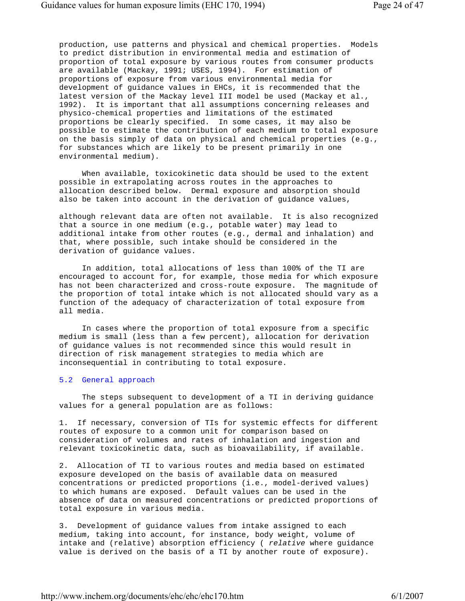production, use patterns and physical and chemical properties. Models to predict distribution in environmental media and estimation of proportion of total exposure by various routes from consumer products are available (Mackay, 1991; USES, 1994). For estimation of proportions of exposure from various environmental media for development of guidance values in EHCs, it is recommended that the latest version of the Mackay level III model be used (Mackay et al., 1992). It is important that all assumptions concerning releases and physico-chemical properties and limitations of the estimated proportions be clearly specified. In some cases, it may also be possible to estimate the contribution of each medium to total exposure on the basis simply of data on physical and chemical properties (e.g., for substances which are likely to be present primarily in one environmental medium).

 When available, toxicokinetic data should be used to the extent possible in extrapolating across routes in the approaches to allocation described below. Dermal exposure and absorption should also be taken into account in the derivation of guidance values,

 although relevant data are often not available. It is also recognized that a source in one medium (e.g., potable water) may lead to additional intake from other routes (e.g., dermal and inhalation) and that, where possible, such intake should be considered in the derivation of guidance values.

 In addition, total allocations of less than 100% of the TI are encouraged to account for, for example, those media for which exposure has not been characterized and cross-route exposure. The magnitude of the proportion of total intake which is not allocated should vary as a function of the adequacy of characterization of total exposure from all media.

 In cases where the proportion of total exposure from a specific medium is small (less than a few percent), allocation for derivation of guidance values is not recommended since this would result in direction of risk management strategies to media which are inconsequential in contributing to total exposure.

#### 5.2 General approach

 The steps subsequent to development of a TI in deriving guidance values for a general population are as follows:

 1. If necessary, conversion of TIs for systemic effects for different routes of exposure to a common unit for comparison based on consideration of volumes and rates of inhalation and ingestion and relevant toxicokinetic data, such as bioavailability, if available.

 2. Allocation of TI to various routes and media based on estimated exposure developed on the basis of available data on measured concentrations or predicted proportions (i.e., model-derived values) to which humans are exposed. Default values can be used in the absence of data on measured concentrations or predicted proportions of total exposure in various media.

 3. Development of guidance values from intake assigned to each medium, taking into account, for instance, body weight, volume of intake and (relative) absorption efficiency ( *relative* where guidance value is derived on the basis of a TI by another route of exposure).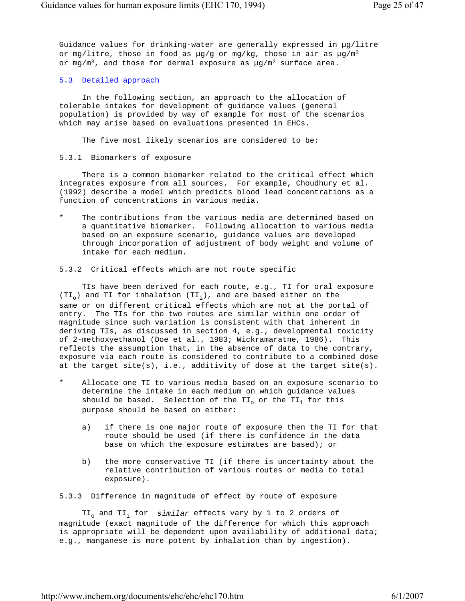Guidance values for drinking-water are generally expressed in µg/litre or mg/litre, those in food as  $\mu$ g/g or mg/kg, those in air as  $\mu$ g/m<sup>3</sup> or mg/m<sup>3</sup>, and those for dermal exposure as  $\mu$ g/m<sup>2</sup> surface area.

## 5.3 Detailed approach

 In the following section, an approach to the allocation of tolerable intakes for development of guidance values (general population) is provided by way of example for most of the scenarios which may arise based on evaluations presented in EHCs.

The five most likely scenarios are considered to be:

## 5.3.1 Biomarkers of exposure

 There is a common biomarker related to the critical effect which integrates exposure from all sources. For example, Choudhury et al. (1992) describe a model which predicts blood lead concentrations as a function of concentrations in various media.

The contributions from the various media are determined based on a quantitative biomarker. Following allocation to various media based on an exposure scenario, guidance values are developed through incorporation of adjustment of body weight and volume of intake for each medium.

5.3.2 Critical effects which are not route specific

 TIs have been derived for each route, e.g., TI for oral exposure  $(TI_0)$  and TI for inhalation  $(TI_i)$ , and are based either on the same or on different critical effects which are not at the portal of entry. The TIs for the two routes are similar within one order of magnitude since such variation is consistent with that inherent in deriving TIs, as discussed in section 4, e.g., developmental toxicity of 2-methoxyethanol (Doe et al., 1983; Wickramaratne, 1986). This reflects the assumption that, in the absence of data to the contrary, exposure via each route is considered to contribute to a combined dose at the target  $site(s)$ , i.e., additivity of dose at the target  $site(s)$ .

- Allocate one TI to various media based on an exposure scenario to determine the intake in each medium on which guidance values should be based. Selection of the  $TI_0$  or the  $TI_i$  for this purpose should be based on either:
	- a) if there is one major route of exposure then the TI for that route should be used (if there is confidence in the data base on which the exposure estimates are based); or
	- b) the more conservative TI (if there is uncertainty about the relative contribution of various routes or media to total exposure).

5.3.3 Difference in magnitude of effect by route of exposure

TI<sub>o</sub> and TI<sub>i</sub> for *similar* effects vary by 1 to 2 orders of magnitude (exact magnitude of the difference for which this approach is appropriate will be dependent upon availability of additional data; e.g., manganese is more potent by inhalation than by ingestion).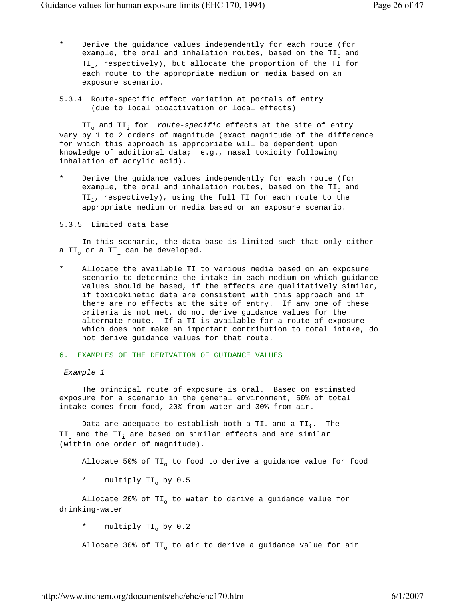- Derive the guidance values independently for each route (for example, the oral and inhalation routes, based on the  $TI_0$  and  $TI_i$ , respectively), but allocate the proportion of the TI for each route to the appropriate medium or media based on an exposure scenario.
- 5.3.4 Route-specific effect variation at portals of entry (due to local bioactivation or local effects)

TI<sub>o</sub> and TI<sub>i</sub> for *route-specific* effects at the site of entry vary by 1 to 2 orders of magnitude (exact magnitude of the difference for which this approach is appropriate will be dependent upon knowledge of additional data; e.g., nasal toxicity following inhalation of acrylic acid).

Derive the guidance values independently for each route (for example, the oral and inhalation routes, based on the  $TI_0$  and  $TI_i$ , respectively), using the full TI for each route to the appropriate medium or media based on an exposure scenario.

## 5.3.5 Limited data base

 In this scenario, the data base is limited such that only either a TI<sub>o</sub> or a TI<sub>i</sub> can be developed.

Allocate the available TI to various media based on an exposure scenario to determine the intake in each medium on which guidance values should be based, if the effects are qualitatively similar, if toxicokinetic data are consistent with this approach and if there are no effects at the site of entry. If any one of these criteria is not met, do not derive guidance values for the alternate route. If a TI is available for a route of exposure which does not make an important contribution to total intake, do not derive guidance values for that route.

## 6. EXAMPLES OF THE DERIVATION OF GUIDANCE VALUES

#### *Example 1*

 The principal route of exposure is oral. Based on estimated exposure for a scenario in the general environment, 50% of total intake comes from food, 20% from water and 30% from air.

Data are adequate to establish both a TI<sub>o</sub> and a TI<sub>i</sub>. The  $TI_{o}$  and the  $TI_{i}$  are based on similar effects and are similar (within one order of magnitude).

Allocate 50% of  $TI_0$  to food to derive a guidance value for food

\* multiply TI<sub>o</sub> by 0.5

Allocate 20% of  $TI_0$  to water to derive a guidance value for drinking-water

\* multiply  $TI_0$  by 0.2

Allocate 30% of TI<sub>o</sub> to air to derive a guidance value for air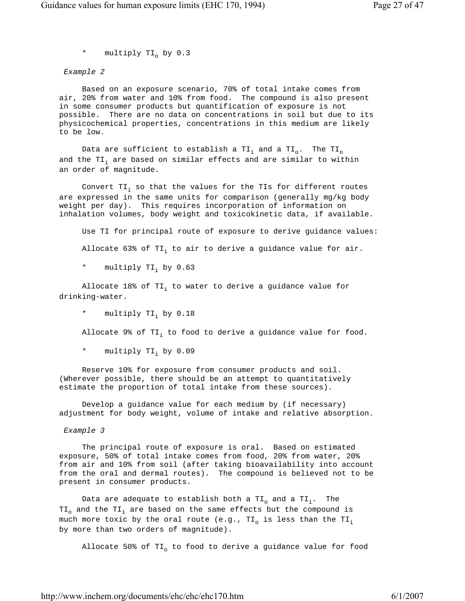\* multiply  $TI_0$  by 0.3

*Example 2*

 Based on an exposure scenario, 70% of total intake comes from air, 20% from water and 10% from food. The compound is also present in some consumer products but quantification of exposure is not possible. There are no data on concentrations in soil but due to its physicochemical properties, concentrations in this medium are likely to be low.

Data are sufficient to establish a TI<sub>i</sub> and a TI<sub>o</sub>. The TI<sub>o</sub> and the TI<sub>i</sub> are based on similar effects and are similar to within an order of magnitude.

Convert TI<sub>i</sub> so that the values for the TIs for different routes are expressed in the same units for comparison (generally mg/kg body weight per day). This requires incorporation of information on inhalation volumes, body weight and toxicokinetic data, if available.

Use TI for principal route of exposure to derive guidance values:

Allocate 63% of TI<sub>i</sub> to air to derive a guidance value for air.

multiply TI, by 0.63

Allocate 18% of TI; to water to derive a guidance value for drinking-water.

\* multiply TI<sub>i</sub> by 0.18

Allocate 9% of TI, to food to derive a guidance value for food.

\* multiply TI; by 0.09

 Reserve 10% for exposure from consumer products and soil. (Wherever possible, there should be an attempt to quantitatively estimate the proportion of total intake from these sources).

 Develop a guidance value for each medium by (if necessary) adjustment for body weight, volume of intake and relative absorption.

*Example 3*

 The principal route of exposure is oral. Based on estimated exposure, 50% of total intake comes from food, 20% from water, 20% from air and 10% from soil (after taking bioavailability into account from the oral and dermal routes). The compound is believed not to be present in consumer products.

Data are adequate to establish both a  $TI_0$  and a  $TI_i$ . The  $TI_{o}$  and the  $TI_{i}$  are based on the same effects but the compound is much more toxic by the oral route (e.g.,  $TI_{o}$  is less than the  $TI_{i}$ by more than two orders of magnitude).

Allocate 50% of  $TI_0$  to food to derive a guidance value for food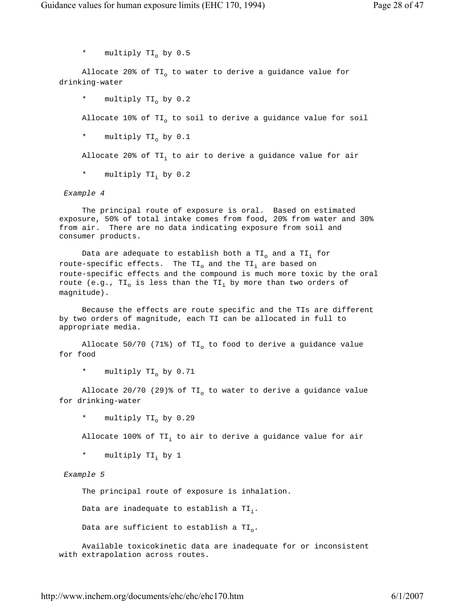\* multiply  $TI_0$  by 0.5

Allocate 20% of TI<sub>o</sub> to water to derive a guidance value for drinking-water

\* multiply TI<sub>o</sub> by 0.2

Allocate 10% of  $TI_0$  to soil to derive a guidance value for soil

\* multiply  $TI_0$  by 0.1

Allocate 20% of TI<sub>i</sub> to air to derive a guidance value for air

\* multiply TI<sub>i</sub> by 0.2

## *Example 4*

 The principal route of exposure is oral. Based on estimated exposure, 50% of total intake comes from food, 20% from water and 30% from air. There are no data indicating exposure from soil and consumer products.

Data are adequate to establish both a TI<sub>o</sub> and a TI<sub>i</sub> for route-specific effects. The  $TI_0$  and the  $TI_i$  are based on route-specific effects and the compound is much more toxic by the oral route (e.g.,  $TI_{o}$  is less than the  $TI_{i}$  by more than two orders of magnitude).

 Because the effects are route specific and the TIs are different by two orders of magnitude, each TI can be allocated in full to appropriate media.

Allocate 50/70 (71%) of TI<sub>o</sub> to food to derive a guidance value for food

\* multiply  $TI_0$  by 0.71

Allocate 20/70 (29)% of TI<sub>o</sub> to water to derive a guidance value for drinking-water

```
* multiply TI_0 by 0.29
```
Allocate 100% of TI<sub>i</sub> to air to derive a guidance value for air

\* multiply TI, by 1

# *Example 5*

The principal route of exposure is inhalation.

Data are inadequate to establish a  $TI_i$ .

Data are sufficient to establish a  $TI_0$ .

 Available toxicokinetic data are inadequate for or inconsistent with extrapolation across routes.

http://www.inchem.org/documents/ehc/ehc/ehc170.htm 6/1/2007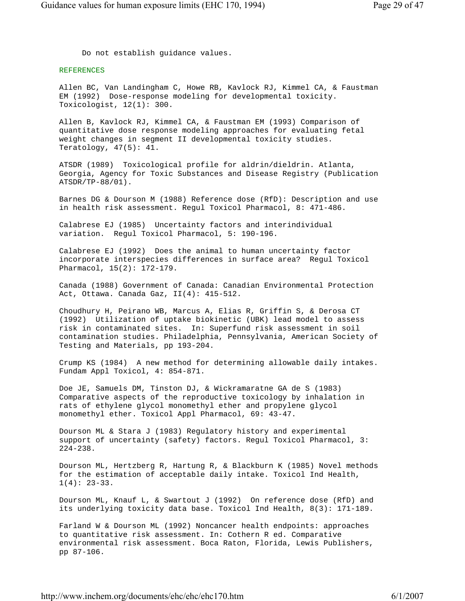Do not establish guidance values.

# REFERENCES

 Allen BC, Van Landingham C, Howe RB, Kavlock RJ, Kimmel CA, & Faustman EM (1992) Dose-response modeling for developmental toxicity. Toxicologist, 12(1): 300.

 Allen B, Kavlock RJ, Kimmel CA, & Faustman EM (1993) Comparison of quantitative dose response modeling approaches for evaluating fetal weight changes in segment II developmental toxicity studies. Teratology, 47(5): 41.

 ATSDR (1989) Toxicological profile for aldrin/dieldrin. Atlanta, Georgia, Agency for Toxic Substances and Disease Registry (Publication ATSDR/TP-88/01).

 Barnes DG & Dourson M (1988) Reference dose (RfD): Description and use in health risk assessment. Regul Toxicol Pharmacol, 8: 471-486.

 Calabrese EJ (1985) Uncertainty factors and interindividual variation. Regul Toxicol Pharmacol, 5: 190-196.

 Calabrese EJ (1992) Does the animal to human uncertainty factor incorporate interspecies differences in surface area? Regul Toxicol Pharmacol, 15(2): 172-179.

 Canada (1988) Government of Canada: Canadian Environmental Protection Act, Ottawa. Canada Gaz, II(4): 415-512.

 Choudhury H, Peirano WB, Marcus A, Elias R, Griffin S, & Derosa CT (1992) Utilization of uptake biokinetic (UBK) lead model to assess risk in contaminated sites. In: Superfund risk assessment in soil contamination studies. Philadelphia, Pennsylvania, American Society of Testing and Materials, pp 193-204.

 Crump KS (1984) A new method for determining allowable daily intakes. Fundam Appl Toxicol, 4: 854-871.

 Doe JE, Samuels DM, Tinston DJ, & Wickramaratne GA de S (1983) Comparative aspects of the reproductive toxicology by inhalation in rats of ethylene glycol monomethyl ether and propylene glycol monomethyl ether. Toxicol Appl Pharmacol, 69: 43-47.

 Dourson ML & Stara J (1983) Regulatory history and experimental support of uncertainty (safety) factors. Regul Toxicol Pharmacol, 3: 224-238.

 Dourson ML, Hertzberg R, Hartung R, & Blackburn K (1985) Novel methods for the estimation of acceptable daily intake. Toxicol Ind Health,  $1(4): 23-33.$ 

 Dourson ML, Knauf L, & Swartout J (1992) On reference dose (RfD) and its underlying toxicity data base. Toxicol Ind Health, 8(3): 171-189.

 Farland W & Dourson ML (1992) Noncancer health endpoints: approaches to quantitative risk assessment. In: Cothern R ed. Comparative environmental risk assessment. Boca Raton, Florida, Lewis Publishers, pp 87-106.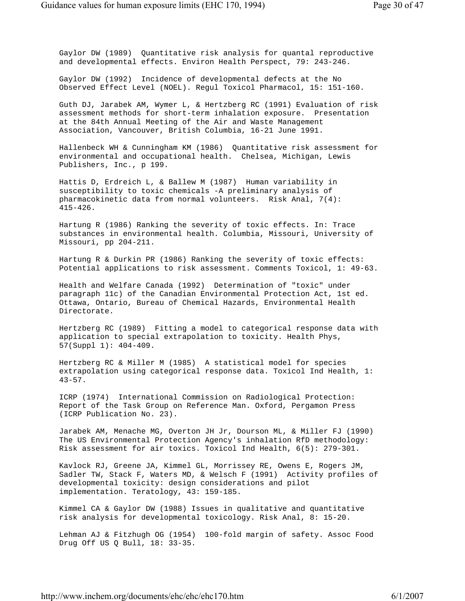Gaylor DW (1989) Quantitative risk analysis for quantal reproductive and developmental effects. Environ Health Perspect, 79: 243-246.

 Gaylor DW (1992) Incidence of developmental defects at the No Observed Effect Level (NOEL). Regul Toxicol Pharmacol, 15: 151-160.

 Guth DJ, Jarabek AM, Wymer L, & Hertzberg RC (1991) Evaluation of risk assessment methods for short-term inhalation exposure. Presentation at the 84th Annual Meeting of the Air and Waste Management Association, Vancouver, British Columbia, 16-21 June 1991.

 Hallenbeck WH & Cunningham KM (1986) Quantitative risk assessment for environmental and occupational health. Chelsea, Michigan, Lewis Publishers, Inc., p 199.

 Hattis D, Erdreich L, & Ballew M (1987) Human variability in susceptibility to toxic chemicals -A preliminary analysis of pharmacokinetic data from normal volunteers. Risk Anal, 7(4): 415-426.

 Hartung R (1986) Ranking the severity of toxic effects. In: Trace substances in environmental health. Columbia, Missouri, University of Missouri, pp 204-211.

 Hartung R & Durkin PR (1986) Ranking the severity of toxic effects: Potential applications to risk assessment. Comments Toxicol, 1: 49-63.

 Health and Welfare Canada (1992) Determination of "toxic" under paragraph 11c) of the Canadian Environmental Protection Act, 1st ed. Ottawa, Ontario, Bureau of Chemical Hazards, Environmental Health Directorate.

 Hertzberg RC (1989) Fitting a model to categorical response data with application to special extrapolation to toxicity. Health Phys, 57(Suppl 1): 404-409.

 Hertzberg RC & Miller M (1985) A statistical model for species extrapolation using categorical response data. Toxicol Ind Health, 1: 43-57.

 ICRP (1974) International Commission on Radiological Protection: Report of the Task Group on Reference Man. Oxford, Pergamon Press (ICRP Publication No. 23).

 Jarabek AM, Menache MG, Overton JH Jr, Dourson ML, & Miller FJ (1990) The US Environmental Protection Agency's inhalation RfD methodology: Risk assessment for air toxics. Toxicol Ind Health, 6(5): 279-301.

 Kavlock RJ, Greene JA, Kimmel GL, Morrissey RE, Owens E, Rogers JM, Sadler TW, Stack F, Waters MD, & Welsch F (1991) Activity profiles of developmental toxicity: design considerations and pilot implementation. Teratology, 43: 159-185.

 Kimmel CA & Gaylor DW (1988) Issues in qualitative and quantitative risk analysis for developmental toxicology. Risk Anal, 8: 15-20.

 Lehman AJ & Fitzhugh OG (1954) 100-fold margin of safety. Assoc Food Drug Off US Q Bull, 18: 33-35.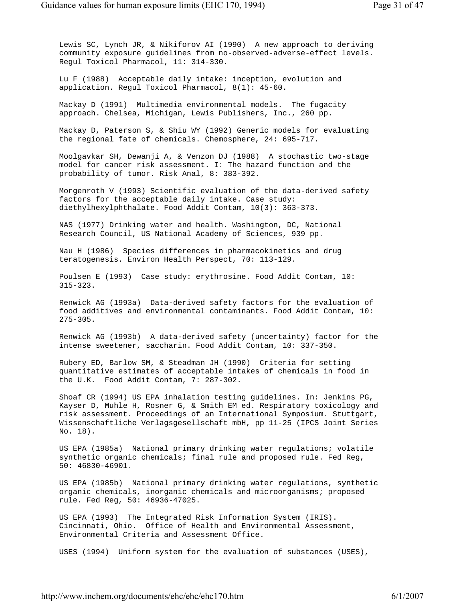Lewis SC, Lynch JR, & Nikiforov AI (1990) A new approach to deriving community exposure guidelines from no-observed-adverse-effect levels. Regul Toxicol Pharmacol, 11: 314-330.

 Lu F (1988) Acceptable daily intake: inception, evolution and application. Regul Toxicol Pharmacol, 8(1): 45-60.

 Mackay D (1991) Multimedia environmental models. The fugacity approach. Chelsea, Michigan, Lewis Publishers, Inc., 260 pp.

 Mackay D, Paterson S, & Shiu WY (1992) Generic models for evaluating the regional fate of chemicals. Chemosphere, 24: 695-717.

 Moolgavkar SH, Dewanji A, & Venzon DJ (1988) A stochastic two-stage model for cancer risk assessment. I: The hazard function and the probability of tumor. Risk Anal, 8: 383-392.

 Morgenroth V (1993) Scientific evaluation of the data-derived safety factors for the acceptable daily intake. Case study: diethylhexylphthalate. Food Addit Contam, 10(3): 363-373.

 NAS (1977) Drinking water and health. Washington, DC, National Research Council, US National Academy of Sciences, 939 pp.

 Nau H (1986) Species differences in pharmacokinetics and drug teratogenesis. Environ Health Perspect, 70: 113-129.

 Poulsen E (1993) Case study: erythrosine. Food Addit Contam, 10: 315-323.

 Renwick AG (1993a) Data-derived safety factors for the evaluation of food additives and environmental contaminants. Food Addit Contam, 10: 275-305.

 Renwick AG (1993b) A data-derived safety (uncertainty) factor for the intense sweetener, saccharin. Food Addit Contam, 10: 337-350.

 Rubery ED, Barlow SM, & Steadman JH (1990) Criteria for setting quantitative estimates of acceptable intakes of chemicals in food in the U.K. Food Addit Contam, 7: 287-302.

 Shoaf CR (1994) US EPA inhalation testing guidelines. In: Jenkins PG, Kayser D, Muhle H, Rosner G, & Smith EM ed. Respiratory toxicology and risk assessment. Proceedings of an International Symposium. Stuttgart, Wissenschaftliche Verlagsgesellschaft mbH, pp 11-25 (IPCS Joint Series No. 18).

 US EPA (1985a) National primary drinking water regulations; volatile synthetic organic chemicals; final rule and proposed rule. Fed Reg, 50: 46830-46901.

 US EPA (1985b) National primary drinking water regulations, synthetic organic chemicals, inorganic chemicals and microorganisms; proposed rule. Fed Reg, 50: 46936-47025.

 US EPA (1993) The Integrated Risk Information System (IRIS). Cincinnati, Ohio. Office of Health and Environmental Assessment, Environmental Criteria and Assessment Office.

USES (1994) Uniform system for the evaluation of substances (USES),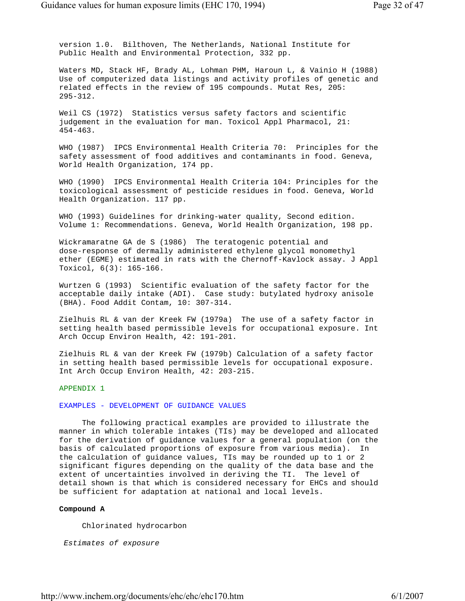version 1.0. Bilthoven, The Netherlands, National Institute for Public Health and Environmental Protection, 332 pp.

 Waters MD, Stack HF, Brady AL, Lohman PHM, Haroun L, & Vainio H (1988) Use of computerized data listings and activity profiles of genetic and related effects in the review of 195 compounds. Mutat Res, 205: 295-312.

 Weil CS (1972) Statistics versus safety factors and scientific judgement in the evaluation for man. Toxicol Appl Pharmacol, 21: 454-463.

 WHO (1987) IPCS Environmental Health Criteria 70: Principles for the safety assessment of food additives and contaminants in food. Geneva, World Health Organization, 174 pp.

 WHO (1990) IPCS Environmental Health Criteria 104: Principles for the toxicological assessment of pesticide residues in food. Geneva, World Health Organization. 117 pp.

 WHO (1993) Guidelines for drinking-water quality, Second edition. Volume 1: Recommendations. Geneva, World Health Organization, 198 pp.

 Wickramaratne GA de S (1986) The teratogenic potential and dose-response of dermally administered ethylene glycol monomethyl ether (EGME) estimated in rats with the Chernoff-Kavlock assay. J Appl Toxicol, 6(3): 165-166.

 Wurtzen G (1993) Scientific evaluation of the safety factor for the acceptable daily intake (ADI). Case study: butylated hydroxy anisole (BHA). Food Addit Contam, 10: 307-314.

 Zielhuis RL & van der Kreek FW (1979a) The use of a safety factor in setting health based permissible levels for occupational exposure. Int Arch Occup Environ Health, 42: 191-201.

 Zielhuis RL & van der Kreek FW (1979b) Calculation of a safety factor in setting health based permissible levels for occupational exposure. Int Arch Occup Environ Health, 42: 203-215.

## APPENDIX 1

# EXAMPLES - DEVELOPMENT OF GUIDANCE VALUES

 The following practical examples are provided to illustrate the manner in which tolerable intakes (TIs) may be developed and allocated for the derivation of guidance values for a general population (on the basis of calculated proportions of exposure from various media). In the calculation of guidance values, TIs may be rounded up to 1 or 2 significant figures depending on the quality of the data base and the extent of uncertainties involved in deriving the TI. The level of detail shown is that which is considered necessary for EHCs and should be sufficient for adaptation at national and local levels.

## **Compound A**

Chlorinated hydrocarbon

*Estimates of exposure*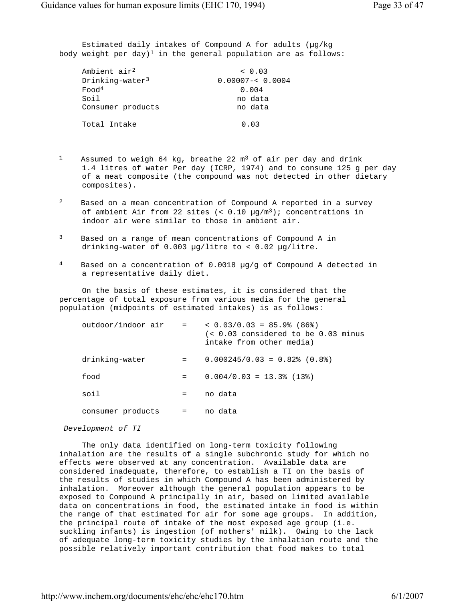Estimated daily intakes of Compound A for adults (µg/kg body weight per day)<sup>1</sup> in the general population are as follows:

| Ambient air <sup>2</sup> | < 0.03             |
|--------------------------|--------------------|
| $Drinkinq-water3$        | $0.00007 - 0.0004$ |
| Food <sup>4</sup>        | 0.004              |
| Soil                     | no data            |
| Consumer products        | no data            |
| Total Intake             | 0.03               |

- <sup>1</sup> Assumed to weigh 64 kg, breathe 22  $m<sup>3</sup>$  of air per day and drink 1.4 litres of water Per day (ICRP, 1974) and to consume 125 g per day of a meat composite (the compound was not detected in other dietary composites).
- 2 Based on a mean concentration of Compound A reported in a survey of ambient Air from 22 sites  $( $0.10 \mu q/m^3$ )$ ; concentrations in indoor air were similar to those in ambient air.
- 3 Based on a range of mean concentrations of Compound A in drinking-water of 0.003 µg/litre to < 0.02 µg/litre.
- 4 Based on a concentration of 0.0018 µg/g of Compound A detected in a representative daily diet.

 On the basis of these estimates, it is considered that the percentage of total exposure from various media for the general population (midpoints of estimated intakes) is as follows:

| outdoor/indoor air | and the state of the | $< 0.03/0.03 = 85.9$ (86 )<br>$\langle 0.03 \rangle$ considered to be 0.03 minus<br>intake from other media) |
|--------------------|----------------------|--------------------------------------------------------------------------------------------------------------|
| drinking-water     | $=$                  | $0.000245/0.03 = 0.82$ (0.8 %)                                                                               |
| food               | $=$                  | $0.004/0.03 = 13.3$ (13.)                                                                                    |
| soil               | $=$                  | no data                                                                                                      |
| consumer products  | $=$                  | no data                                                                                                      |

#### *Development of TI*

 The only data identified on long-term toxicity following inhalation are the results of a single subchronic study for which no effects were observed at any concentration. Available data are considered inadequate, therefore, to establish a TI on the basis of the results of studies in which Compound A has been administered by inhalation. Moreover although the general population appears to be exposed to Compound A principally in air, based on limited available data on concentrations in food, the estimated intake in food is within the range of that estimated for air for some age groups. In addition, the principal route of intake of the most exposed age group (i.e. suckling infants) is ingestion (of mothers' milk). Owing to the lack of adequate long-term toxicity studies by the inhalation route and the possible relatively important contribution that food makes to total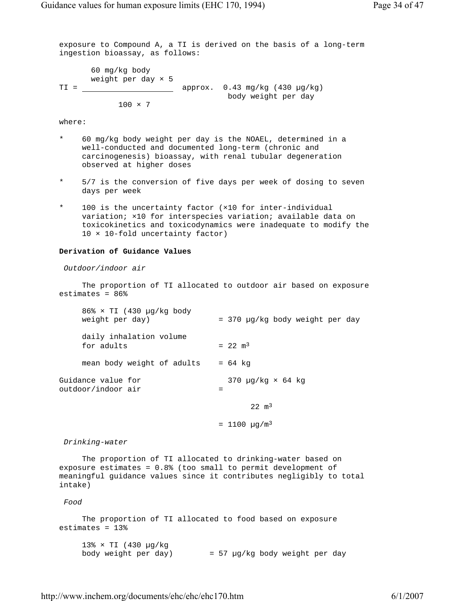exposure to Compound A, a TI is derived on the basis of a long-term ingestion bioassay, as follows: 60 mg/kg body weight per day × 5  $TI =$   $\frac{1}{2}$  approx. 0.43 mg/kg (430 µg/kg) body weight per day  $100 \times 7$ 

where:

- \* 60 mg/kg body weight per day is the NOAEL, determined in a well-conducted and documented long-term (chronic and carcinogenesis) bioassay, with renal tubular degeneration observed at higher doses
- \* 5/7 is the conversion of five days per week of dosing to seven days per week
- \* 100 is the uncertainty factor (×10 for inter-individual variation; ×10 for interspecies variation; available data on toxicokinetics and toxicodynamics were inadequate to modify the 10 × 10-fold uncertainty factor)

## **Derivation of Guidance Values**

*Outdoor/indoor air*

 The proportion of TI allocated to outdoor air based on exposure estimates =  $86%$ 

 86% × TI (430 µg/kg body weight per day) = 370 µg/kg body weight per day daily inhalation volume for adults  $= 22 \text{ m}^3$ mean body weight of adults  $= 64$  kg Guidance value for 370 µg/kg × 64 kg outdoor/indoor air =

 $22 \text{ m}^3$ 

 $= 1100 \text{ µq/m}^3$ 

*Drinking-water*

 The proportion of TI allocated to drinking-water based on exposure estimates = 0.8% (too small to permit development of meaningful guidance values since it contributes negligibly to total intake)

*Food*

 The proportion of TI allocated to food based on exposure estimates = 13%

 13% × TI (430 µg/kg body weight per day) = 57 µg/kg body weight per day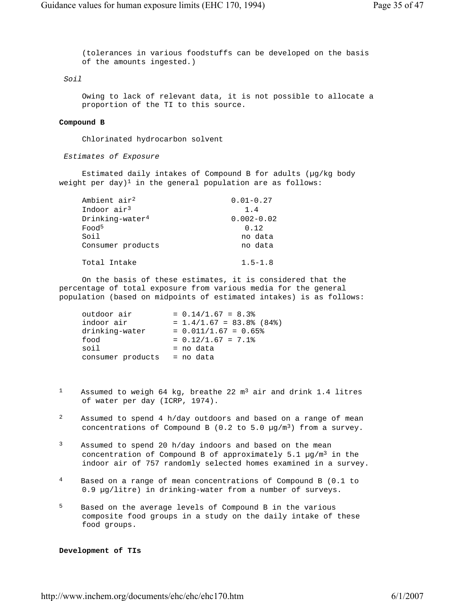(tolerances in various foodstuffs can be developed on the basis of the amounts ingested.)

## *Soil*

 Owing to lack of relevant data, it is not possible to allocate a proportion of the TI to this source.

#### **Compound B**

Chlorinated hydrocarbon solvent

*Estimates of Exposure*

 Estimated daily intakes of Compound B for adults (µg/kg body weight per day)<sup>1</sup> in the general population are as follows:

| Ambient air <sup>2</sup> | $0.01 - 0.27$  |
|--------------------------|----------------|
| Indoor air <sup>3</sup>  | 1.4            |
| $Drinking-water4$        | $0.002 - 0.02$ |
| Food <sup>5</sup>        | 0.12           |
| Soil                     | no data        |
| Consumer products        | no data        |
|                          |                |
| Total Intake             | $1.5 - 1.8$    |

 On the basis of these estimates, it is considered that the percentage of total exposure from various media for the general population (based on midpoints of estimated intakes) is as follows:

| outdoor air       | $= 0.14/1.67 = 8.3%$       |
|-------------------|----------------------------|
| indoor air        | $= 1.4/1.67 = 83.8%$ (84%) |
| drinking-water    | $= 0.011/1.67 = 0.65$      |
| food              | $= 0.12/1.67 = 7.1$        |
| soil              | = no data                  |
| consumer products | = no data                  |
|                   |                            |

- <sup>1</sup> Assumed to weigh 64 kg, breathe 22  $m<sup>3</sup>$  air and drink 1.4 litres of water per day (ICRP, 1974).
- 2 Assumed to spend 4 h/day outdoors and based on a range of mean concentrations of Compound B (0.2 to 5.0  $\mu$ g/m<sup>3</sup>) from a survey.
- 3 Assumed to spend 20 h/day indoors and based on the mean concentration of Compound B of approximately 5.1  $\mu$ g/m<sup>3</sup> in the indoor air of 757 randomly selected homes examined in a survey.
- 4 Based on a range of mean concentrations of Compound B (0.1 to 0.9 µg/litre) in drinking-water from a number of surveys.
- 5 Based on the average levels of Compound B in the various composite food groups in a study on the daily intake of these food groups.

#### **Development of TIs**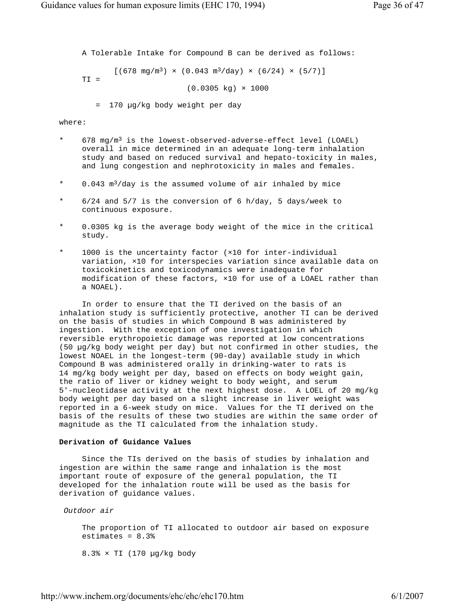A Tolerable Intake for Compound B can be derived as follows:  $[(678 \text{ mg/m}^3) \times (0.043 \text{ m}^3/\text{day}) \times (6/24) \times (5/7)]$  TI =  $(0.0305 \text{ kg}) \times 1000$ = 170 µg/kg body weight per day

where:

- 678 mg/m<sup>3</sup> is the lowest-observed-adverse-effect level (LOAEL) overall in mice determined in an adequate long-term inhalation study and based on reduced survival and hepato-toxicity in males, and lung congestion and nephrotoxicity in males and females.
- \* 0.043 m3/day is the assumed volume of air inhaled by mice
- $6/24$  and  $5/7$  is the conversion of 6 h/day, 5 days/week to continuous exposure.
- 0.0305 kg is the average body weight of the mice in the critical study.
- \* 1000 is the uncertainty factor (×10 for inter-individual variation, ×10 for interspecies variation since available data on toxicokinetics and toxicodynamics were inadequate for modification of these factors, ×10 for use of a LOAEL rather than a NOAEL).

 In order to ensure that the TI derived on the basis of an inhalation study is sufficiently protective, another TI can be derived on the basis of studies in which Compound B was administered by ingestion. With the exception of one investigation in which reversible erythropoietic damage was reported at low concentrations (50 µg/kg body weight per day) but not confirmed in other studies, the lowest NOAEL in the longest-term (90-day) available study in which Compound B was administered orally in drinking-water to rats is 14 mg/kg body weight per day, based on effects on body weight gain, the ratio of liver or kidney weight to body weight, and serum 5'-nucleotidase activity at the next highest dose. A LOEL of 20 mg/kg body weight per day based on a slight increase in liver weight was reported in a 6-week study on mice. Values for the TI derived on the basis of the results of these two studies are within the same order of magnitude as the TI calculated from the inhalation study.

#### **Derivation of Guidance Values**

 Since the TIs derived on the basis of studies by inhalation and ingestion are within the same range and inhalation is the most important route of exposure of the general population, the TI developed for the inhalation route will be used as the basis for derivation of guidance values.

*Outdoor air*

 The proportion of TI allocated to outdoor air based on exposure estimates =  $8.3%$ 

8.3% × TI (170 µg/kg body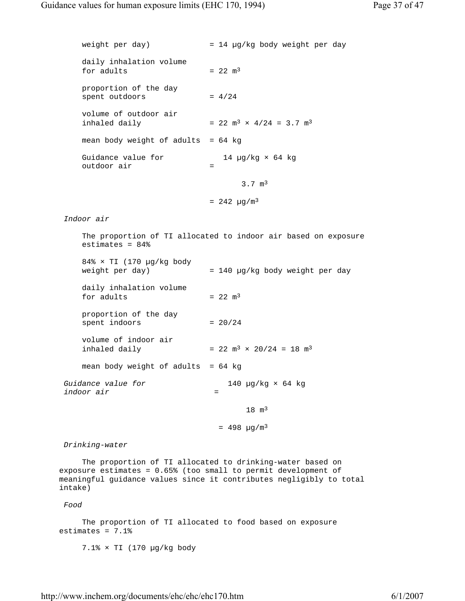weight per day)  $= 14 \mu g/kg$  body weight per day daily inhalation volume for adults  $= 22 \text{ m}^3$  proportion of the day  $spent outdoors$  =  $4/24$  volume of outdoor air inhaled daily  $= 22 \text{ m}^3 \times 4/24 = 3.7 \text{ m}^3$ mean body weight of adults =  $64$  kg Guidance value for  $14 \mu g/kg \times 64 \ kg$  outdoor air = 3.7 m3  $= 242 \mu g/m^3$  *Indoor air* The proportion of TI allocated to indoor air based on exposure estimates = 84%  $84\% \times TI$  (170 µg/kg body weight per day) = 140 µg/kg body weight per day daily inhalation volume for adults  $= 22 \text{ m}^3$  proportion of the day spent indoors  $= 20/24$  volume of indoor air inhaled daily  $= 22 \text{ m}^3 \times 20/24 = 18 \text{ m}^3$ mean body weight of adults =  $64$  kg *Guidance value for* 140 µg/kg × 64 kg *indoor air* =  $18 \text{ m}^3$  $= 498 \mu q/m^3$  *Drinking-water* The proportion of TI allocated to drinking-water based on exposure estimates = 0.65% (too small to permit development of meaningful guidance values since it contributes negligibly to total intake) *Food* The proportion of TI allocated to food based on exposure estimates = 7.1% 7.1% × TI (170 µg/kg body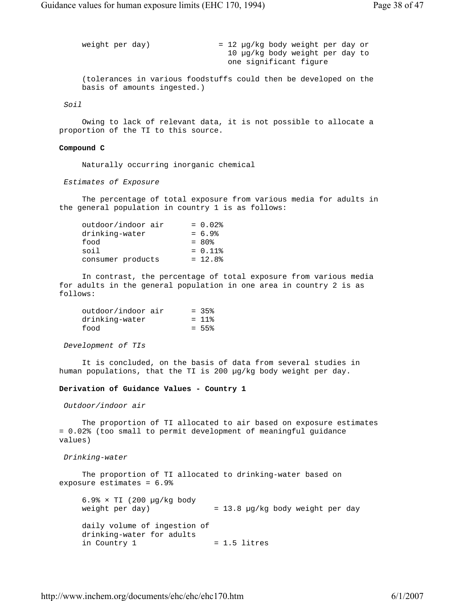weight per day)  $= 12 \mu g/kg$  body weight per day or 10 µg/kg body weight per day to one significant figure (tolerances in various foodstuffs could then be developed on the basis of amounts ingested.)

*Soil*

 Owing to lack of relevant data, it is not possible to allocate a proportion of the TI to this source.

#### **Compound C**

Naturally occurring inorganic chemical

*Estimates of Exposure*

 The percentage of total exposure from various media for adults in the general population in country 1 is as follows:

| outdoor/indoor air | $= 0.02$   |
|--------------------|------------|
| drinking-water     | $= 6.9%$   |
| food               | $= 80\%$   |
| soil               | $= 0.11$ % |
| consumer products  | $= 12.8%$  |

 In contrast, the percentage of total exposure from various media for adults in the general population in one area in country 2 is as follows:

| outdoor/indoor air | $= 35%$              |
|--------------------|----------------------|
| drinking-water     | $= 11$ $\frac{1}{2}$ |
| food               | $= 55%$              |

*Development of TIs*

 It is concluded, on the basis of data from several studies in human populations, that the TI is 200 µg/kg body weight per day.

### **Derivation of Guidance Values - Country 1**

*Outdoor/indoor air*

 The proportion of TI allocated to air based on exposure estimates = 0.02% (too small to permit development of meaningful guidance values)

*Drinking-water*

 The proportion of TI allocated to drinking-water based on exposure estimates = 6.9%

 $6.9% \times TI$  (200 µg/kg body weight per day)  $= 13.8$  µg/kg body weight per day daily volume of ingestion of drinking-water for adults  $in$  Country 1  $= 1.5$  litres

http://www.inchem.org/documents/ehc/ehc/ehc170.htm 6/1/2007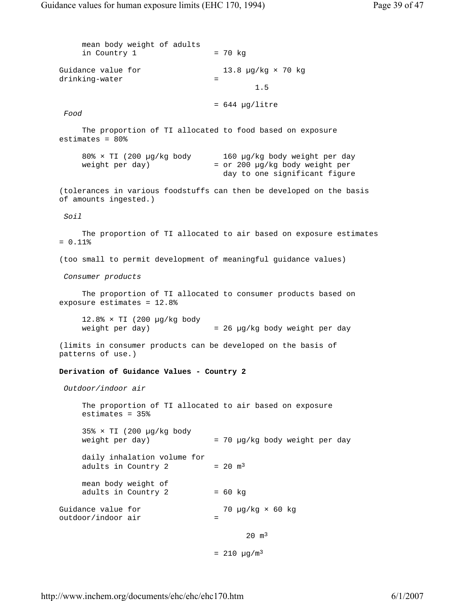mean body weight of adults  $in$  Country 1 = 70 kg Guidance value for 13.8 µg/kg × 70 kg drinking-water  $=$  1.5  $= 644$  µg/litre *Food* The proportion of TI allocated to food based on exposure estimates = 80% 80% × TI (200 µg/kg body 160 µg/kg body weight per day weight per day) = or 200 µg/kg body weight per day to one significant figure (tolerances in various foodstuffs can then be developed on the basis of amounts ingested.) *Soil* The proportion of TI allocated to air based on exposure estimates  $= 0.11%$  (too small to permit development of meaningful guidance values) *Consumer products* The proportion of TI allocated to consumer products based on exposure estimates = 12.8% 12.8% × TI (200 µg/kg body weight per day)  $= 26 \text{ µg/kg}$  body weight per day (limits in consumer products can be developed on the basis of patterns of use.) **Derivation of Guidance Values - Country 2** *Outdoor/indoor air* The proportion of TI allocated to air based on exposure estimates = 35%  $35\% \times TI$  (200 µg/kg body weight per day)  $= 70 \text{ µg/kg}$  body weight per day daily inhalation volume for adults in Country 2  $= 20 \text{ m}^3$  mean body weight of adults in Country 2  $= 60$  kg Guidance value for  $70 \mu g/kg \times 60 kg$ outdoor/indoor air =  $20 \text{ m}^3$  $= 210 \mu g/m^3$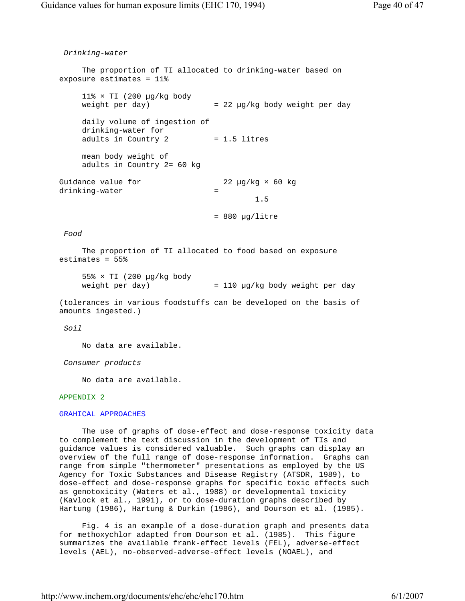*Drinking-water* The proportion of TI allocated to drinking-water based on exposure estimates = 11% 11%  $\times$  TI (200 µg/kg body weight per day)  $= 22 \mu g/kg$  body weight per day daily volume of ingestion of drinking-water for adults in Country 2  $= 1.5$  litres mean body weight of adults in Country 2= 60 kg Guidance value for  $22 \text{ µg/kg} \times 60 \text{ kg}$  drinking-water = 1.5 = 880 µg/litre *Food* The proportion of TI allocated to food based on exposure estimates = 55% 55% × TI (200 µg/kg body weight per day) = 110 µg/kg body weight per day (tolerances in various foodstuffs can be developed on the basis of amounts ingested.) *Soil* No data are available. *Consumer products* No data are available. APPENDIX 2

#### GRAHICAL APPROACHES

 The use of graphs of dose-effect and dose-response toxicity data to complement the text discussion in the development of TIs and guidance values is considered valuable. Such graphs can display an overview of the full range of dose-response information. Graphs can range from simple "thermometer" presentations as employed by the US Agency for Toxic Substances and Disease Registry (ATSDR, 1989), to dose-effect and dose-response graphs for specific toxic effects such as genotoxicity (Waters et al., 1988) or developmental toxicity (Kavlock et al., 1991), or to dose-duration graphs described by Hartung (1986), Hartung & Durkin (1986), and Dourson et al. (1985).

 Fig. 4 is an example of a dose-duration graph and presents data for methoxychlor adapted from Dourson et al. (1985). This figure summarizes the available frank-effect levels (FEL), adverse-effect levels (AEL), no-observed-adverse-effect levels (NOAEL), and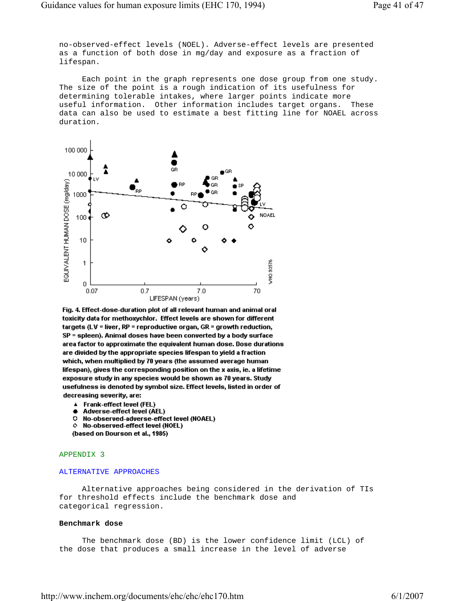no-observed-effect levels (NOEL). Adverse-effect levels are presented as a function of both dose in mg/day and exposure as a fraction of lifespan.

 Each point in the graph represents one dose group from one study. The size of the point is a rough indication of its usefulness for determining tolerable intakes, where larger points indicate more useful information. Other information includes target organs. These data can also be used to estimate a best fitting line for NOAEL across duration.



Fig. 4. Effect-dose-duration plot of all relevant human and animal oral toxicity data for methoxychlor. Effect levels are shown for different targets (LV = liver, RP = reproductive organ, GR = growth reduction, SP = spleen). Animal doses have been converted by a body surface area factor to approximate the equivalent human dose. Dose durations are divided by the appropriate species lifespan to yield a fraction which, when multiplied by 70 years (the assumed average human lifespan), gives the corresponding position on the x axis, ie. a lifetime exposure study in any species would be shown as 70 years. Study usefulness is denoted by symbol size. Effect levels, listed in order of decreasing severity, are:

- Frank-effect level (FEL) Δ.
- Adverse-effect level (AEL) ٠
- o No-observed-adverse-effect level (NOAEL)
- $\diamond$  No-observed-effect level (NOEL)

(based on Dourson et al., 1985)

## APPENDIX 3

#### ALTERNATIVE APPROACHES

 Alternative approaches being considered in the derivation of TIs for threshold effects include the benchmark dose and categorical regression.

#### **Benchmark dose**

 The benchmark dose (BD) is the lower confidence limit (LCL) of the dose that produces a small increase in the level of adverse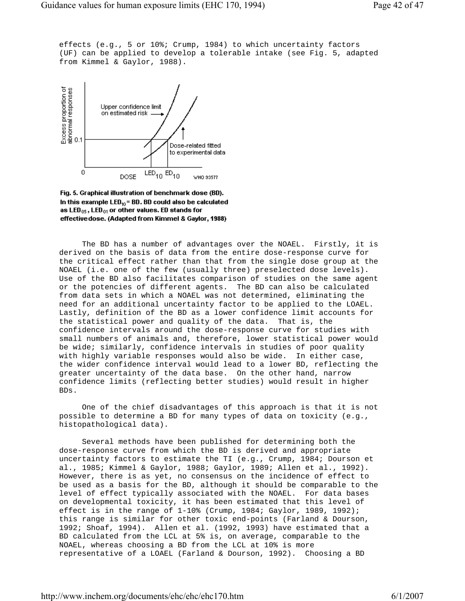effects (e.g., 5 or 10%; Crump, 1984) to which uncertainty factors (UF) can be applied to develop a tolerable intake (see Fig. 5, adapted from Kimmel & Gaylor, 1988).



Fig. 5. Graphical illustration of benchmark dose (BD). In this example LED $_{10}$ = BD. BD could also be calculated as LED $_{05}$ , LED $_{01}$  or other values. ED stands for effective dose. (Adapted from Kimmel & Gaylor, 1988)

 The BD has a number of advantages over the NOAEL. Firstly, it is derived on the basis of data from the entire dose-response curve for the critical effect rather than that from the single dose group at the NOAEL (i.e. one of the few (usually three) preselected dose levels). Use of the BD also facilitates comparison of studies on the same agent or the potencies of different agents. The BD can also be calculated from data sets in which a NOAEL was not determined, eliminating the need for an additional uncertainty factor to be applied to the LOAEL. Lastly, definition of the BD as a lower confidence limit accounts for the statistical power and quality of the data. That is, the confidence intervals around the dose-response curve for studies with small numbers of animals and, therefore, lower statistical power would be wide; similarly, confidence intervals in studies of poor quality with highly variable responses would also be wide. In either case, the wider confidence interval would lead to a lower BD, reflecting the greater uncertainty of the data base. On the other hand, narrow confidence limits (reflecting better studies) would result in higher BDs.

 One of the chief disadvantages of this approach is that it is not possible to determine a BD for many types of data on toxicity (e.g., histopathological data).

 Several methods have been published for determining both the dose-response curve from which the BD is derived and appropriate uncertainty factors to estimate the TI (e.g., Crump, 1984; Dourson et al., 1985; Kimmel & Gaylor, 1988; Gaylor, 1989; Allen et al., 1992). However, there is as yet, no consensus on the incidence of effect to be used as a basis for the BD, although it should be comparable to the level of effect typically associated with the NOAEL. For data bases on developmental toxicity, it has been estimated that this level of effect is in the range of 1-10% (Crump, 1984; Gaylor, 1989, 1992); this range is similar for other toxic end-points (Farland & Dourson, 1992; Shoaf, 1994). Allen et al. (1992, 1993) have estimated that a BD calculated from the LCL at 5% is, on average, comparable to the NOAEL, whereas choosing a BD from the LCL at 10% is more representative of a LOAEL (Farland & Dourson, 1992). Choosing a BD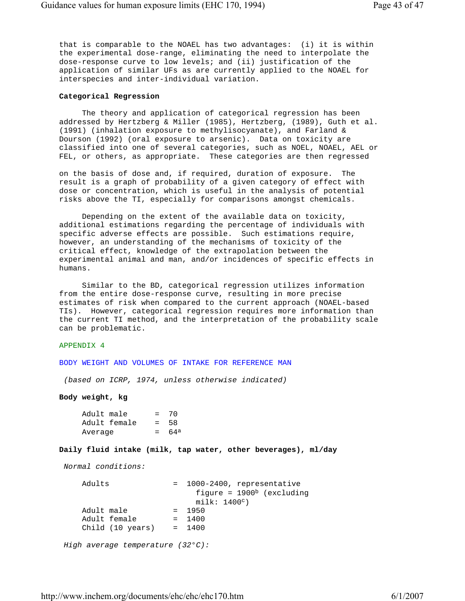that is comparable to the NOAEL has two advantages: (i) it is within the experimental dose-range, eliminating the need to interpolate the dose-response curve to low levels; and (ii) justification of the application of similar UFs as are currently applied to the NOAEL for interspecies and inter-individual variation.

## **Categorical Regression**

 The theory and application of categorical regression has been addressed by Hertzberg & Miller (1985), Hertzberg, (1989), Guth et al. (1991) (inhalation exposure to methylisocyanate), and Farland & Dourson (1992) (oral exposure to arsenic). Data on toxicity are classified into one of several categories, such as NOEL, NOAEL, AEL or FEL, or others, as appropriate. These categories are then regressed

 on the basis of dose and, if required, duration of exposure. The result is a graph of probability of a given category of effect with dose or concentration, which is useful in the analysis of potential risks above the TI, especially for comparisons amongst chemicals.

 Depending on the extent of the available data on toxicity, additional estimations regarding the percentage of individuals with specific adverse effects are possible. Such estimations require, however, an understanding of the mechanisms of toxicity of the critical effect, knowledge of the extrapolation between the experimental animal and man, and/or incidences of specific effects in humans.

 Similar to the BD, categorical regression utilizes information from the entire dose-response curve, resulting in more precise estimates of risk when compared to the current approach (NOAEL-based TIs). However, categorical regression requires more information than the current TI method, and the interpretation of the probability scale can be problematic.

# APPENDIX 4

BODY WEIGHT AND VOLUMES OF INTAKE FOR REFERENCE MAN

*(based on ICRP, 1974, unless otherwise indicated)*

**Body weight, kg**

```
Adult male = 70
 Adult female = 58 
Average = 64^a
```
# **Daily fluid intake (milk, tap water, other beverages), ml/day**

*Normal conditions:*

```
Adults = 1000-2400, representative
                          figure = 1900<sup>b</sup> (excluding
                           milk: 1400c) 
   Adult male = 1950Adult female = 1400
    Child (10 years) = 1400 
 High average temperature (32°C):
```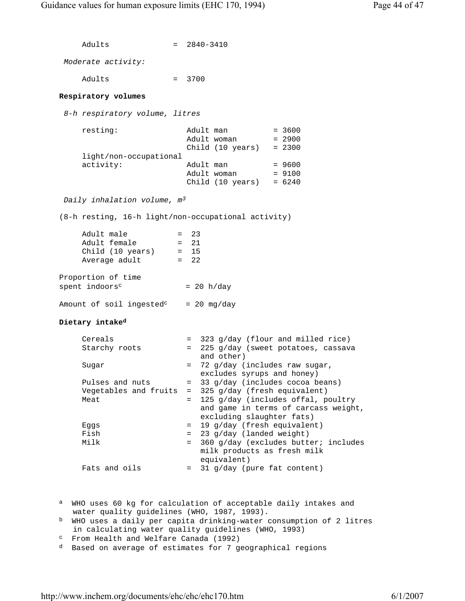```
Adults = 2840-3410
     Moderate activity:
       Adults = 3700
    Respiratory volumes
     8-h respiratory volume, litres
resting: Adult man = 3600
\Delta \text{dult} woman = 2900
                             Child (10 years) = 2300 
        light/non-occupational 
       activity: Adult man = 9600
                            Adult woman = 9100
                            Child (10 \text{ years}) = 6240 Daily inhalation volume, m3
    (8-h resting, 16-h light/non-occupational activity) 
       Adult male = 23Adult female = 21<br>Child (10 years) = 15Child (10 \text{ years}) = 15<br>Average adult = 22
       Average adult
    Proportion of time 
   spent indoors<sup>c</sup> = 20 h/day
   Amount of soil ingested<sup>c</sup> = 20 mg/day
    Dietary intaked
       Cereals = 323 \frac{g}{day} (flour and milled rice)
       Starchy roots = 225 g/day (sweet potatoes, cassava
                                and other) 
       Sugar = 72 g/day (includes raw sugar,
                              excludes syrups and honey) 
       Pulses and nuts = 33 g/day (includes cocoa beans)
        Vegetables and fruits = 325 g/day (fresh equivalent) 
       Meat = 125 g/day (includes offal, poultry
                                and game in terms of carcass weight, 
                                excluding slaughter fats) 
       Eggs = 19 g/day (fresh equivalent)
       Fish = 23 g/day (landed weight)
       Milk = 360 \text{ g/day} (excludes butter; includes
                               milk products as fresh milk 
                                equivalent) 
       Fats and oils = 31 g/day (pure fat content)
   a WHO uses 60 kg for calculation of acceptable daily intakes and
      water quality guidelines (WHO, 1987, 1993). 
    b WHO uses a daily per capita drinking-water consumption of 2 litres 
      in calculating water quality guidelines (WHO, 1993)
```
- c From Health and Welfare Canada (1992)
- d Based on average of estimates for 7 geographical regions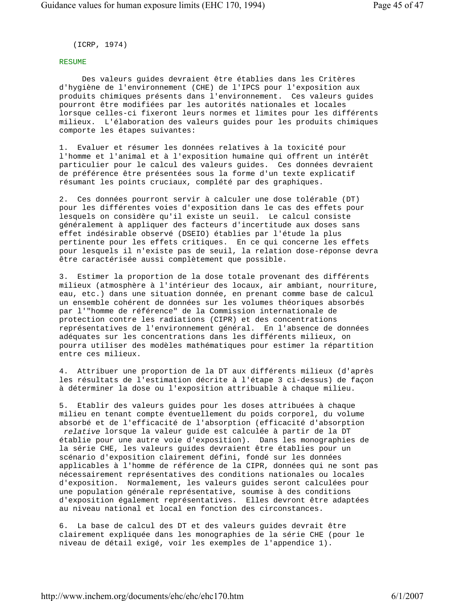(ICRP, 1974)

## RESUME

 Des valeurs guides devraient être établies dans les Critères d'hygiène de l'environnement (CHE) de l'IPCS pour l'exposition aux produits chimiques présents dans l'environnement. Ces valeurs guides pourront être modifiées par les autorités nationales et locales lorsque celles-ci fixeront leurs normes et limites pour les différents milieux. L'élaboration des valeurs guides pour les produits chimiques comporte les étapes suivantes:

 1. Evaluer et résumer les données relatives à la toxicité pour l'homme et l'animal et à l'exposition humaine qui offrent un intérêt particulier pour le calcul des valeurs guides. Ces données devraient de préférence être présentées sous la forme d'un texte explicatif résumant les points cruciaux, complété par des graphiques.

 2. Ces données pourront servir à calculer une dose tolérable (DT) pour les différentes voies d'exposition dans le cas des effets pour lesquels on considère qu'il existe un seuil. Le calcul consiste généralement à appliquer des facteurs d'incertitude aux doses sans effet indésirable observé (DSEIO) établies par l'étude la plus pertinente pour les effets critiques. En ce qui concerne les effets pour lesquels il n'existe pas de seuil, la relation dose-réponse devra être caractérisée aussi complètement que possible.

 3. Estimer la proportion de la dose totale provenant des différents milieux (atmosphère à l'intérieur des locaux, air ambiant, nourriture, eau, etc.) dans une situation donnée, en prenant comme base de calcul un ensemble cohérent de données sur les volumes théoriques absorbés par l'"homme de référence" de la Commission internationale de protection contre les radiations (CIPR) et des concentrations représentatives de l'environnement général. En l'absence de données adéquates sur les concentrations dans les différents milieux, on pourra utiliser des modèles mathématiques pour estimer la répartition entre ces milieux.

 4. Attribuer une proportion de la DT aux différents milieux (d'après les résultats de l'estimation décrite à l'étape 3 ci-dessus) de façon à déterminer la dose ou l'exposition attribuable à chaque milieu.

 5. Etablir des valeurs guides pour les doses attribuées à chaque milieu en tenant compte éventuellement du poids corporel, du volume absorbé et de l'efficacité de l'absorption (efficacité d'absorption *relative* lorsque la valeur guide est calculée à partir de la DT établie pour une autre voie d'exposition). Dans les monographies de la série CHE, les valeurs guides devraient être établies pour un scénario d'exposition clairement défini, fondé sur les données applicables à l'homme de référence de la CIPR, données qui ne sont pas nécessairement représentatives des conditions nationales ou locales d'exposition. Normalement, les valeurs guides seront calculées pour une population générale représentative, soumise à des conditions d'exposition également représentatives. Elles devront être adaptées au niveau national et local en fonction des circonstances.

 6. La base de calcul des DT et des valeurs guides devrait être clairement expliquée dans les monographies de la série CHE (pour le niveau de détail exigé, voir les exemples de l'appendice 1).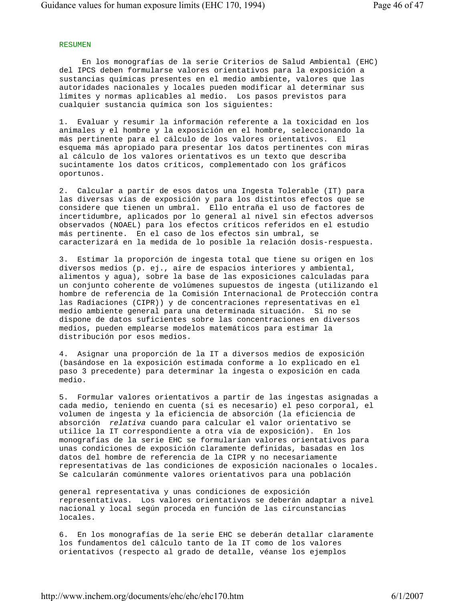# RESUMEN

 En los monografías de la serie Criterios de Salud Ambiental (EHC) del IPCS deben formularse valores orientativos para la exposición a sustancias químicas presentes en el medio ambiente, valores que las autoridades nacionales y locales pueden modificar al determinar sus límites y normas aplicables al medio. Los pasos previstos para cualquier sustancia química son los siguientes:

 1. Evaluar y resumir la información referente a la toxicidad en los animales y el hombre y la exposición en el hombre, seleccionando la más pertinente para el cálculo de los valores orientativos. El esquema más apropiado para presentar los datos pertinentes con miras al cálculo de los valores orientativos es un texto que describa sucintamente los datos críticos, complementado con los gráficos oportunos.

 2. Calcular a partir de esos datos una Ingesta Tolerable (IT) para las diversas vías de exposición y para los distintos efectos que se considere que tienen un umbral. Ello entraña el uso de factores de incertidumbre, aplicados por lo general al nivel sin efectos adversos observados (NOAEL) para los efectos críticos referidos en el estudio más pertinente. En el caso de los efectos sin umbral, se caracterizará en la medida de lo posible la relación dosis-respuesta.

 3. Estimar la proporción de ingesta total que tiene su origen en los diversos medios (p. ej., aire de espacios interiores y ambiental, alimentos y agua), sobre la base de las exposiciones calculadas para un conjunto coherente de volúmenes supuestos de ingesta (utilizando el hombre de referencia de la Comisión Internacional de Protección contra las Radiaciones (CIPR)) y de concentraciones representativas en el medio ambiente general para una determinada situación. Si no se dispone de datos suficientes sobre las concentraciones en diversos medios, pueden emplearse modelos matemáticos para estimar la distribución por esos medios.

 4. Asignar una proporción de la IT a diversos medios de exposición (basándose en la exposición estimada conforme a lo explicado en el paso 3 precedente) para determinar la ingesta o exposición en cada medio.

 5. Formular valores orientativos a partir de las ingestas asignadas a cada medio, teniendo en cuenta (si es necesario) el peso corporal, el volumen de ingesta y la eficiencia de absorción (la eficiencia de absorción *relativa* cuando para calcular el valor orientativo se utilice la IT correspondiente a otra vía de exposición). En los monografías de la serie EHC se formularían valores orientativos para unas condiciones de exposición claramente definidas, basadas en los datos del hombre de referencia de la CIPR y no necesariamente representativas de las condiciones de exposición nacionales o locales. Se calcularán comúnmente valores orientativos para una población

 general representativa y unas condiciones de exposición representativas. Los valores orientativos se deberán adaptar a nivel nacional y local según proceda en función de las circunstancias locales.

 6. En los monografías de la serie EHC se deberán detallar claramente los fundamentos del cálculo tanto de la IT como de los valores orientativos (respecto al grado de detalle, véanse los ejemplos